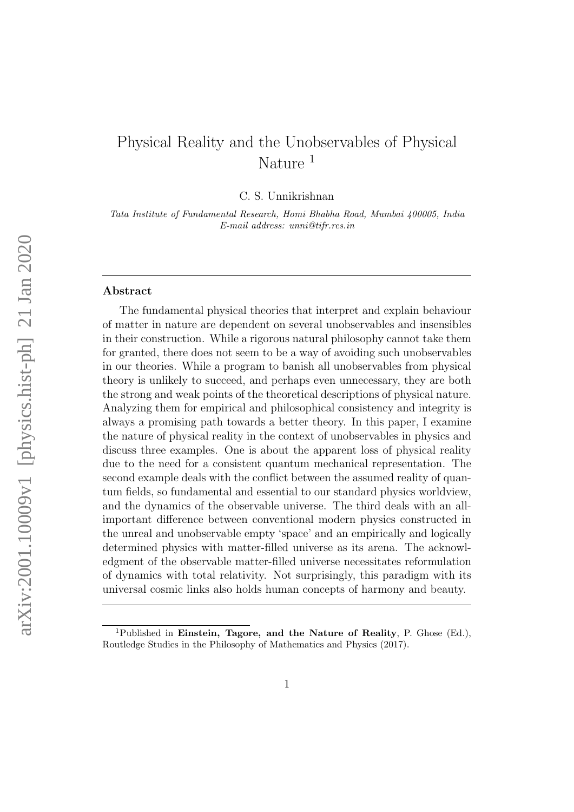# Physical Reality and the Unobservables of Physical Nature<sup>1</sup>

C. S. Unnikrishnan

Tata Institute of Fundamental Research, Homi Bhabha Road, Mumbai 400005, India E-mail address: unni@tifr.res.in

#### Abstract

The fundamental physical theories that interpret and explain behaviour of matter in nature are dependent on several unobservables and insensibles in their construction. While a rigorous natural philosophy cannot take them for granted, there does not seem to be a way of avoiding such unobservables in our theories. While a program to banish all unobservables from physical theory is unlikely to succeed, and perhaps even unnecessary, they are both the strong and weak points of the theoretical descriptions of physical nature. Analyzing them for empirical and philosophical consistency and integrity is always a promising path towards a better theory. In this paper, I examine the nature of physical reality in the context of unobservables in physics and discuss three examples. One is about the apparent loss of physical reality due to the need for a consistent quantum mechanical representation. The second example deals with the conflict between the assumed reality of quantum fields, so fundamental and essential to our standard physics worldview, and the dynamics of the observable universe. The third deals with an allimportant difference between conventional modern physics constructed in the unreal and unobservable empty 'space' and an empirically and logically determined physics with matter-filled universe as its arena. The acknowledgment of the observable matter-filled universe necessitates reformulation of dynamics with total relativity. Not surprisingly, this paradigm with its universal cosmic links also holds human concepts of harmony and beauty.

<sup>&</sup>lt;sup>1</sup>Published in Einstein, Tagore, and the Nature of Reality, P. Ghose  $(Ed.)$ , Routledge Studies in the Philosophy of Mathematics and Physics (2017).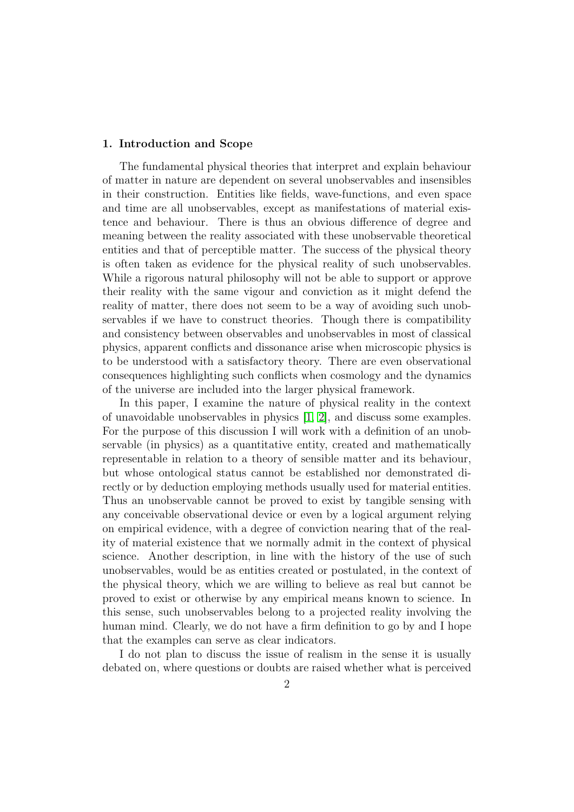### 1. Introduction and Scope

The fundamental physical theories that interpret and explain behaviour of matter in nature are dependent on several unobservables and insensibles in their construction. Entities like fields, wave-functions, and even space and time are all unobservables, except as manifestations of material existence and behaviour. There is thus an obvious difference of degree and meaning between the reality associated with these unobservable theoretical entities and that of perceptible matter. The success of the physical theory is often taken as evidence for the physical reality of such unobservables. While a rigorous natural philosophy will not be able to support or approve their reality with the same vigour and conviction as it might defend the reality of matter, there does not seem to be a way of avoiding such unobservables if we have to construct theories. Though there is compatibility and consistency between observables and unobservables in most of classical physics, apparent conflicts and dissonance arise when microscopic physics is to be understood with a satisfactory theory. There are even observational consequences highlighting such conflicts when cosmology and the dynamics of the universe are included into the larger physical framework.

In this paper, I examine the nature of physical reality in the context of unavoidable unobservables in physics [\[1,](#page-30-0) [2\]](#page-30-1), and discuss some examples. For the purpose of this discussion I will work with a definition of an unobservable (in physics) as a quantitative entity, created and mathematically representable in relation to a theory of sensible matter and its behaviour, but whose ontological status cannot be established nor demonstrated directly or by deduction employing methods usually used for material entities. Thus an unobservable cannot be proved to exist by tangible sensing with any conceivable observational device or even by a logical argument relying on empirical evidence, with a degree of conviction nearing that of the reality of material existence that we normally admit in the context of physical science. Another description, in line with the history of the use of such unobservables, would be as entities created or postulated, in the context of the physical theory, which we are willing to believe as real but cannot be proved to exist or otherwise by any empirical means known to science. In this sense, such unobservables belong to a projected reality involving the human mind. Clearly, we do not have a firm definition to go by and I hope that the examples can serve as clear indicators.

I do not plan to discuss the issue of realism in the sense it is usually debated on, where questions or doubts are raised whether what is perceived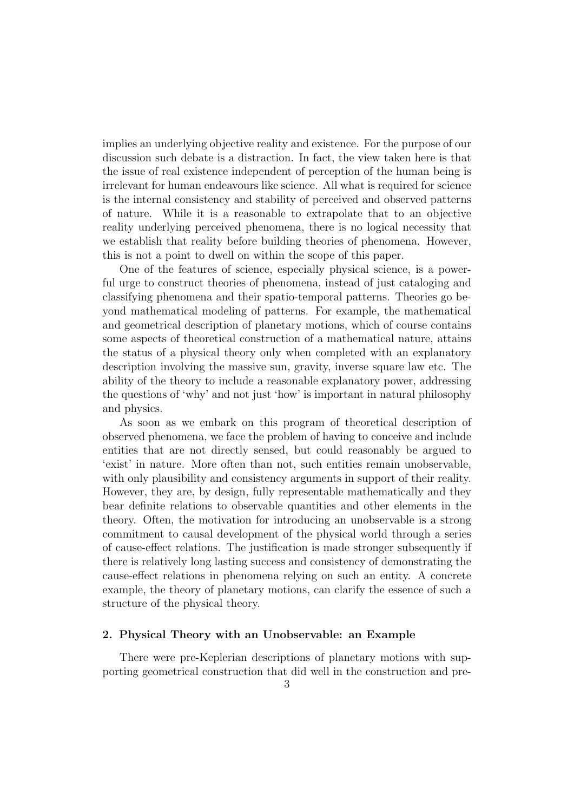implies an underlying objective reality and existence. For the purpose of our discussion such debate is a distraction. In fact, the view taken here is that the issue of real existence independent of perception of the human being is irrelevant for human endeavours like science. All what is required for science is the internal consistency and stability of perceived and observed patterns of nature. While it is a reasonable to extrapolate that to an objective reality underlying perceived phenomena, there is no logical necessity that we establish that reality before building theories of phenomena. However, this is not a point to dwell on within the scope of this paper.

One of the features of science, especially physical science, is a powerful urge to construct theories of phenomena, instead of just cataloging and classifying phenomena and their spatio-temporal patterns. Theories go beyond mathematical modeling of patterns. For example, the mathematical and geometrical description of planetary motions, which of course contains some aspects of theoretical construction of a mathematical nature, attains the status of a physical theory only when completed with an explanatory description involving the massive sun, gravity, inverse square law etc. The ability of the theory to include a reasonable explanatory power, addressing the questions of 'why' and not just 'how' is important in natural philosophy and physics.

As soon as we embark on this program of theoretical description of observed phenomena, we face the problem of having to conceive and include entities that are not directly sensed, but could reasonably be argued to 'exist' in nature. More often than not, such entities remain unobservable, with only plausibility and consistency arguments in support of their reality. However, they are, by design, fully representable mathematically and they bear definite relations to observable quantities and other elements in the theory. Often, the motivation for introducing an unobservable is a strong commitment to causal development of the physical world through a series of cause-effect relations. The justification is made stronger subsequently if there is relatively long lasting success and consistency of demonstrating the cause-effect relations in phenomena relying on such an entity. A concrete example, the theory of planetary motions, can clarify the essence of such a structure of the physical theory.

### 2. Physical Theory with an Unobservable: an Example

There were pre-Keplerian descriptions of planetary motions with supporting geometrical construction that did well in the construction and pre-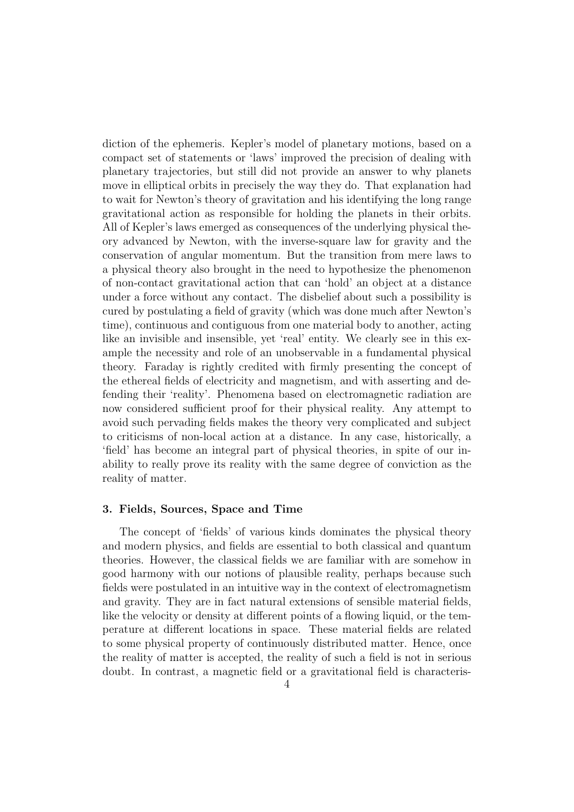diction of the ephemeris. Kepler's model of planetary motions, based on a compact set of statements or 'laws' improved the precision of dealing with planetary trajectories, but still did not provide an answer to why planets move in elliptical orbits in precisely the way they do. That explanation had to wait for Newton's theory of gravitation and his identifying the long range gravitational action as responsible for holding the planets in their orbits. All of Kepler's laws emerged as consequences of the underlying physical theory advanced by Newton, with the inverse-square law for gravity and the conservation of angular momentum. But the transition from mere laws to a physical theory also brought in the need to hypothesize the phenomenon of non-contact gravitational action that can 'hold' an object at a distance under a force without any contact. The disbelief about such a possibility is cured by postulating a field of gravity (which was done much after Newton's time), continuous and contiguous from one material body to another, acting like an invisible and insensible, yet 'real' entity. We clearly see in this example the necessity and role of an unobservable in a fundamental physical theory. Faraday is rightly credited with firmly presenting the concept of the ethereal fields of electricity and magnetism, and with asserting and defending their 'reality'. Phenomena based on electromagnetic radiation are now considered sufficient proof for their physical reality. Any attempt to avoid such pervading fields makes the theory very complicated and subject to criticisms of non-local action at a distance. In any case, historically, a 'field' has become an integral part of physical theories, in spite of our inability to really prove its reality with the same degree of conviction as the reality of matter.

### 3. Fields, Sources, Space and Time

The concept of 'fields' of various kinds dominates the physical theory and modern physics, and fields are essential to both classical and quantum theories. However, the classical fields we are familiar with are somehow in good harmony with our notions of plausible reality, perhaps because such fields were postulated in an intuitive way in the context of electromagnetism and gravity. They are in fact natural extensions of sensible material fields, like the velocity or density at different points of a flowing liquid, or the temperature at different locations in space. These material fields are related to some physical property of continuously distributed matter. Hence, once the reality of matter is accepted, the reality of such a field is not in serious doubt. In contrast, a magnetic field or a gravitational field is characteris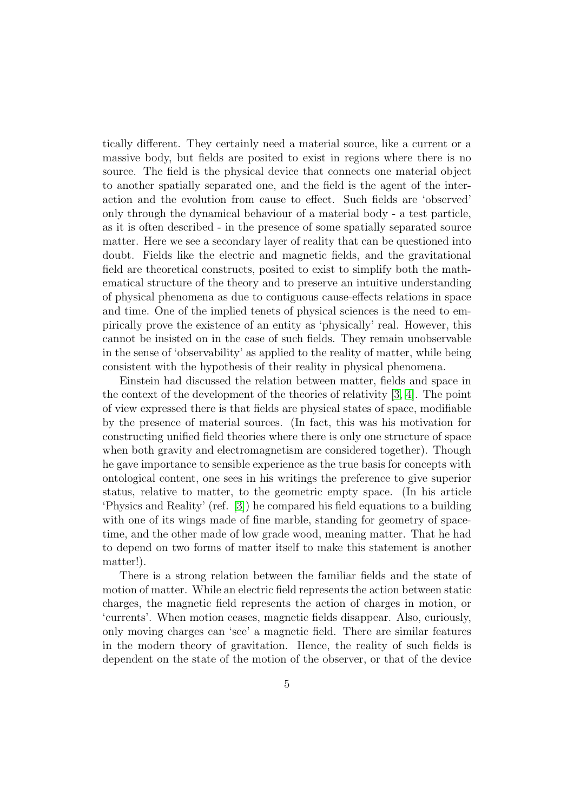tically different. They certainly need a material source, like a current or a massive body, but fields are posited to exist in regions where there is no source. The field is the physical device that connects one material object to another spatially separated one, and the field is the agent of the interaction and the evolution from cause to effect. Such fields are 'observed' only through the dynamical behaviour of a material body - a test particle, as it is often described - in the presence of some spatially separated source matter. Here we see a secondary layer of reality that can be questioned into doubt. Fields like the electric and magnetic fields, and the gravitational field are theoretical constructs, posited to exist to simplify both the mathematical structure of the theory and to preserve an intuitive understanding of physical phenomena as due to contiguous cause-effects relations in space and time. One of the implied tenets of physical sciences is the need to empirically prove the existence of an entity as 'physically' real. However, this cannot be insisted on in the case of such fields. They remain unobservable in the sense of 'observability' as applied to the reality of matter, while being consistent with the hypothesis of their reality in physical phenomena.

Einstein had discussed the relation between matter, fields and space in the context of the development of the theories of relativity [\[3,](#page-30-2) [4\]](#page-30-3). The point of view expressed there is that fields are physical states of space, modifiable by the presence of material sources. (In fact, this was his motivation for constructing unified field theories where there is only one structure of space when both gravity and electromagnetism are considered together). Though he gave importance to sensible experience as the true basis for concepts with ontological content, one sees in his writings the preference to give superior status, relative to matter, to the geometric empty space. (In his article 'Physics and Reality' (ref. [\[3\]](#page-30-2)) he compared his field equations to a building with one of its wings made of fine marble, standing for geometry of spacetime, and the other made of low grade wood, meaning matter. That he had to depend on two forms of matter itself to make this statement is another matter!).

There is a strong relation between the familiar fields and the state of motion of matter. While an electric field represents the action between static charges, the magnetic field represents the action of charges in motion, or 'currents'. When motion ceases, magnetic fields disappear. Also, curiously, only moving charges can 'see' a magnetic field. There are similar features in the modern theory of gravitation. Hence, the reality of such fields is dependent on the state of the motion of the observer, or that of the device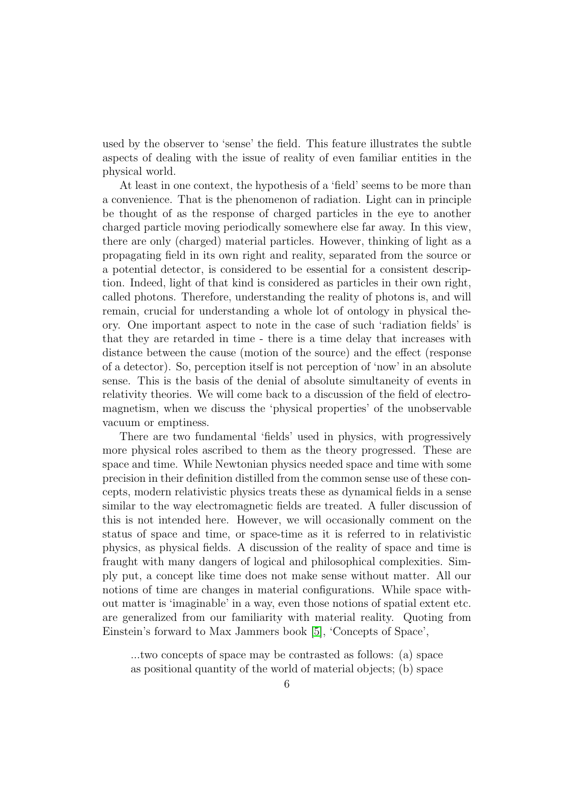used by the observer to 'sense' the field. This feature illustrates the subtle aspects of dealing with the issue of reality of even familiar entities in the physical world.

At least in one context, the hypothesis of a 'field' seems to be more than a convenience. That is the phenomenon of radiation. Light can in principle be thought of as the response of charged particles in the eye to another charged particle moving periodically somewhere else far away. In this view, there are only (charged) material particles. However, thinking of light as a propagating field in its own right and reality, separated from the source or a potential detector, is considered to be essential for a consistent description. Indeed, light of that kind is considered as particles in their own right, called photons. Therefore, understanding the reality of photons is, and will remain, crucial for understanding a whole lot of ontology in physical theory. One important aspect to note in the case of such 'radiation fields' is that they are retarded in time - there is a time delay that increases with distance between the cause (motion of the source) and the effect (response of a detector). So, perception itself is not perception of 'now' in an absolute sense. This is the basis of the denial of absolute simultaneity of events in relativity theories. We will come back to a discussion of the field of electromagnetism, when we discuss the 'physical properties' of the unobservable vacuum or emptiness.

There are two fundamental 'fields' used in physics, with progressively more physical roles ascribed to them as the theory progressed. These are space and time. While Newtonian physics needed space and time with some precision in their definition distilled from the common sense use of these concepts, modern relativistic physics treats these as dynamical fields in a sense similar to the way electromagnetic fields are treated. A fuller discussion of this is not intended here. However, we will occasionally comment on the status of space and time, or space-time as it is referred to in relativistic physics, as physical fields. A discussion of the reality of space and time is fraught with many dangers of logical and philosophical complexities. Simply put, a concept like time does not make sense without matter. All our notions of time are changes in material configurations. While space without matter is 'imaginable' in a way, even those notions of spatial extent etc. are generalized from our familiarity with material reality. Quoting from Einstein's forward to Max Jammers book [\[5\]](#page-30-4), 'Concepts of Space',

...two concepts of space may be contrasted as follows: (a) space as positional quantity of the world of material objects; (b) space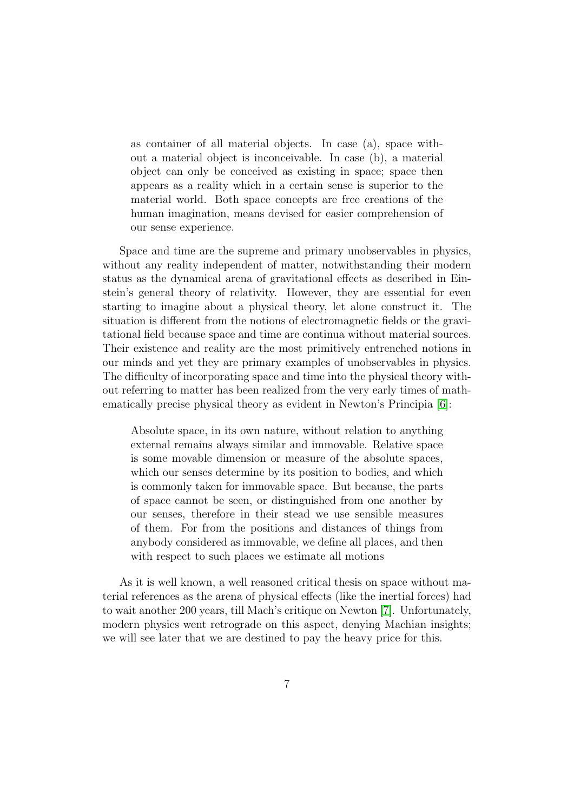as container of all material objects. In case (a), space without a material object is inconceivable. In case (b), a material object can only be conceived as existing in space; space then appears as a reality which in a certain sense is superior to the material world. Both space concepts are free creations of the human imagination, means devised for easier comprehension of our sense experience.

Space and time are the supreme and primary unobservables in physics, without any reality independent of matter, notwithstanding their modern status as the dynamical arena of gravitational effects as described in Einstein's general theory of relativity. However, they are essential for even starting to imagine about a physical theory, let alone construct it. The situation is different from the notions of electromagnetic fields or the gravitational field because space and time are continua without material sources. Their existence and reality are the most primitively entrenched notions in our minds and yet they are primary examples of unobservables in physics. The difficulty of incorporating space and time into the physical theory without referring to matter has been realized from the very early times of mathematically precise physical theory as evident in Newton's Principia [\[6\]](#page-30-5):

Absolute space, in its own nature, without relation to anything external remains always similar and immovable. Relative space is some movable dimension or measure of the absolute spaces, which our senses determine by its position to bodies, and which is commonly taken for immovable space. But because, the parts of space cannot be seen, or distinguished from one another by our senses, therefore in their stead we use sensible measures of them. For from the positions and distances of things from anybody considered as immovable, we define all places, and then with respect to such places we estimate all motions

As it is well known, a well reasoned critical thesis on space without material references as the arena of physical effects (like the inertial forces) had to wait another 200 years, till Mach's critique on Newton [\[7\]](#page-30-6). Unfortunately, modern physics went retrograde on this aspect, denying Machian insights; we will see later that we are destined to pay the heavy price for this.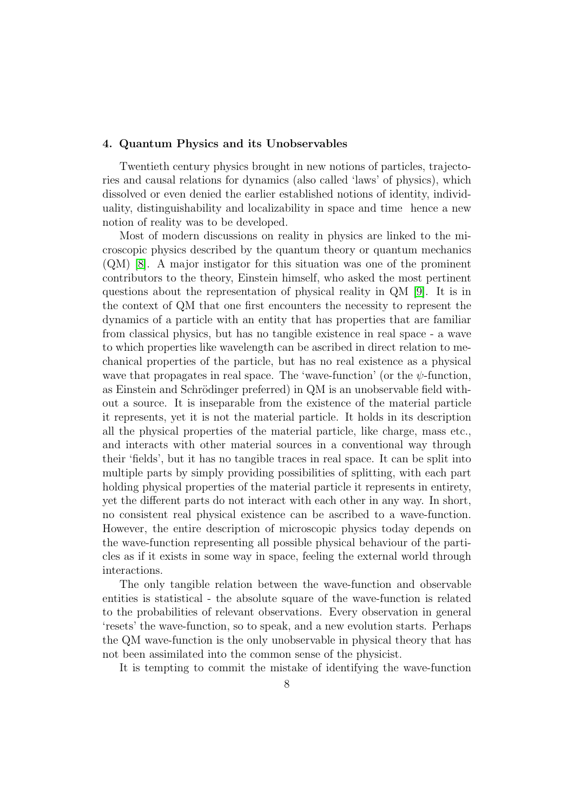### 4. Quantum Physics and its Unobservables

Twentieth century physics brought in new notions of particles, trajectories and causal relations for dynamics (also called 'laws' of physics), which dissolved or even denied the earlier established notions of identity, individuality, distinguishability and localizability in space and time hence a new notion of reality was to be developed.

Most of modern discussions on reality in physics are linked to the microscopic physics described by the quantum theory or quantum mechanics (QM) [\[8\]](#page-30-7). A major instigator for this situation was one of the prominent contributors to the theory, Einstein himself, who asked the most pertinent questions about the representation of physical reality in QM [\[9\]](#page-30-8). It is in the context of QM that one first encounters the necessity to represent the dynamics of a particle with an entity that has properties that are familiar from classical physics, but has no tangible existence in real space - a wave to which properties like wavelength can be ascribed in direct relation to mechanical properties of the particle, but has no real existence as a physical wave that propagates in real space. The 'wave-function' (or the  $\psi$ -function, as Einstein and Schrödinger preferred) in QM is an unobservable field without a source. It is inseparable from the existence of the material particle it represents, yet it is not the material particle. It holds in its description all the physical properties of the material particle, like charge, mass etc., and interacts with other material sources in a conventional way through their 'fields', but it has no tangible traces in real space. It can be split into multiple parts by simply providing possibilities of splitting, with each part holding physical properties of the material particle it represents in entirety, yet the different parts do not interact with each other in any way. In short, no consistent real physical existence can be ascribed to a wave-function. However, the entire description of microscopic physics today depends on the wave-function representing all possible physical behaviour of the particles as if it exists in some way in space, feeling the external world through interactions.

The only tangible relation between the wave-function and observable entities is statistical - the absolute square of the wave-function is related to the probabilities of relevant observations. Every observation in general 'resets' the wave-function, so to speak, and a new evolution starts. Perhaps the QM wave-function is the only unobservable in physical theory that has not been assimilated into the common sense of the physicist.

It is tempting to commit the mistake of identifying the wave-function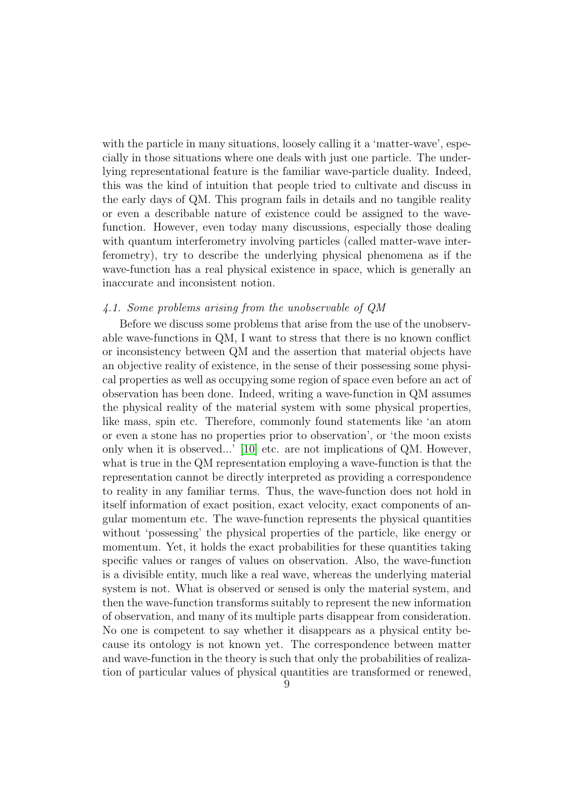with the particle in many situations, loosely calling it a 'matter-wave', especially in those situations where one deals with just one particle. The underlying representational feature is the familiar wave-particle duality. Indeed, this was the kind of intuition that people tried to cultivate and discuss in the early days of QM. This program fails in details and no tangible reality or even a describable nature of existence could be assigned to the wavefunction. However, even today many discussions, especially those dealing with quantum interferometry involving particles (called matter-wave interferometry), try to describe the underlying physical phenomena as if the wave-function has a real physical existence in space, which is generally an inaccurate and inconsistent notion.

### 4.1. Some problems arising from the unobservable of QM

Before we discuss some problems that arise from the use of the unobservable wave-functions in QM, I want to stress that there is no known conflict or inconsistency between QM and the assertion that material objects have an objective reality of existence, in the sense of their possessing some physical properties as well as occupying some region of space even before an act of observation has been done. Indeed, writing a wave-function in QM assumes the physical reality of the material system with some physical properties, like mass, spin etc. Therefore, commonly found statements like 'an atom or even a stone has no properties prior to observation', or 'the moon exists only when it is observed...' [\[10\]](#page-30-9) etc. are not implications of QM. However, what is true in the QM representation employing a wave-function is that the representation cannot be directly interpreted as providing a correspondence to reality in any familiar terms. Thus, the wave-function does not hold in itself information of exact position, exact velocity, exact components of angular momentum etc. The wave-function represents the physical quantities without 'possessing' the physical properties of the particle, like energy or momentum. Yet, it holds the exact probabilities for these quantities taking specific values or ranges of values on observation. Also, the wave-function is a divisible entity, much like a real wave, whereas the underlying material system is not. What is observed or sensed is only the material system, and then the wave-function transforms suitably to represent the new information of observation, and many of its multiple parts disappear from consideration. No one is competent to say whether it disappears as a physical entity because its ontology is not known yet. The correspondence between matter and wave-function in the theory is such that only the probabilities of realization of particular values of physical quantities are transformed or renewed,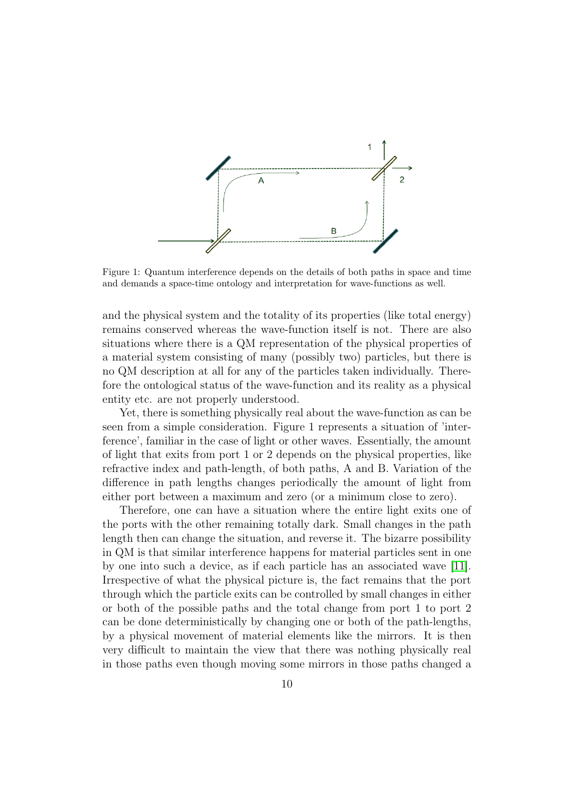

Figure 1: Quantum interference depends on the details of both paths in space and time and demands a space-time ontology and interpretation for wave-functions as well.

and the physical system and the totality of its properties (like total energy) remains conserved whereas the wave-function itself is not. There are also situations where there is a QM representation of the physical properties of a material system consisting of many (possibly two) particles, but there is no QM description at all for any of the particles taken individually. Therefore the ontological status of the wave-function and its reality as a physical entity etc. are not properly understood.

Yet, there is something physically real about the wave-function as can be seen from a simple consideration. Figure 1 represents a situation of 'interference', familiar in the case of light or other waves. Essentially, the amount of light that exits from port 1 or 2 depends on the physical properties, like refractive index and path-length, of both paths, A and B. Variation of the difference in path lengths changes periodically the amount of light from either port between a maximum and zero (or a minimum close to zero).

Therefore, one can have a situation where the entire light exits one of the ports with the other remaining totally dark. Small changes in the path length then can change the situation, and reverse it. The bizarre possibility in QM is that similar interference happens for material particles sent in one by one into such a device, as if each particle has an associated wave [\[11\]](#page-30-10). Irrespective of what the physical picture is, the fact remains that the port through which the particle exits can be controlled by small changes in either or both of the possible paths and the total change from port 1 to port 2 can be done deterministically by changing one or both of the path-lengths, by a physical movement of material elements like the mirrors. It is then very difficult to maintain the view that there was nothing physically real in those paths even though moving some mirrors in those paths changed a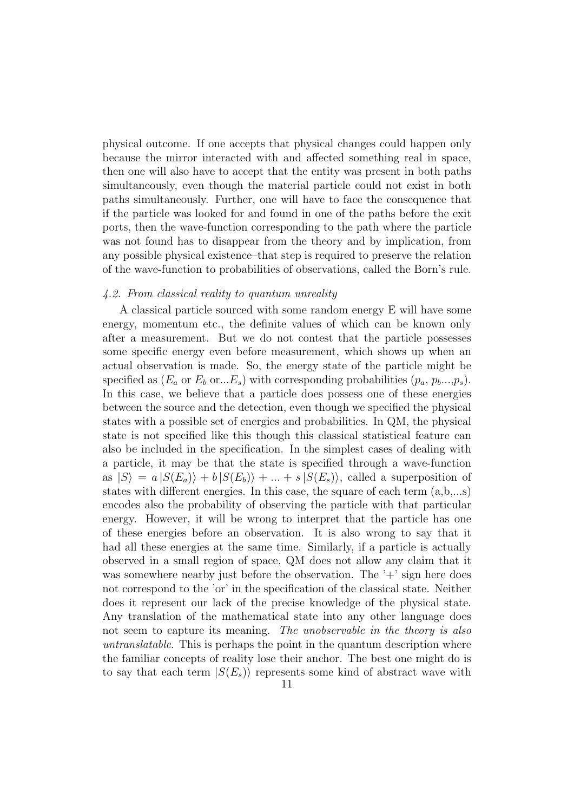physical outcome. If one accepts that physical changes could happen only because the mirror interacted with and affected something real in space, then one will also have to accept that the entity was present in both paths simultaneously, even though the material particle could not exist in both paths simultaneously. Further, one will have to face the consequence that if the particle was looked for and found in one of the paths before the exit ports, then the wave-function corresponding to the path where the particle was not found has to disappear from the theory and by implication, from any possible physical existence–that step is required to preserve the relation of the wave-function to probabilities of observations, called the Born's rule.

#### 4.2. From classical reality to quantum unreality

A classical particle sourced with some random energy E will have some energy, momentum etc., the definite values of which can be known only after a measurement. But we do not contest that the particle possesses some specific energy even before measurement, which shows up when an actual observation is made. So, the energy state of the particle might be specified as  $(E_a \text{ or } E_b \text{ or } ... E_s)$  with corresponding probabilities  $(p_a, p_b..., p_s)$ . In this case, we believe that a particle does possess one of these energies between the source and the detection, even though we specified the physical states with a possible set of energies and probabilities. In QM, the physical state is not specified like this though this classical statistical feature can also be included in the specification. In the simplest cases of dealing with a particle, it may be that the state is specified through a wave-function as  $|S\rangle = a |S(E_a)\rangle + b |S(E_b)\rangle + ... + s |S(E_s)\rangle$ , called a superposition of states with different energies. In this case, the square of each term (a,b,...s) encodes also the probability of observing the particle with that particular energy. However, it will be wrong to interpret that the particle has one of these energies before an observation. It is also wrong to say that it had all these energies at the same time. Similarly, if a particle is actually observed in a small region of space, QM does not allow any claim that it was somewhere nearby just before the observation. The '+' sign here does not correspond to the 'or' in the specification of the classical state. Neither does it represent our lack of the precise knowledge of the physical state. Any translation of the mathematical state into any other language does not seem to capture its meaning. The unobservable in the theory is also untranslatable. This is perhaps the point in the quantum description where the familiar concepts of reality lose their anchor. The best one might do is to say that each term  $|S(E_s)\rangle$  represents some kind of abstract wave with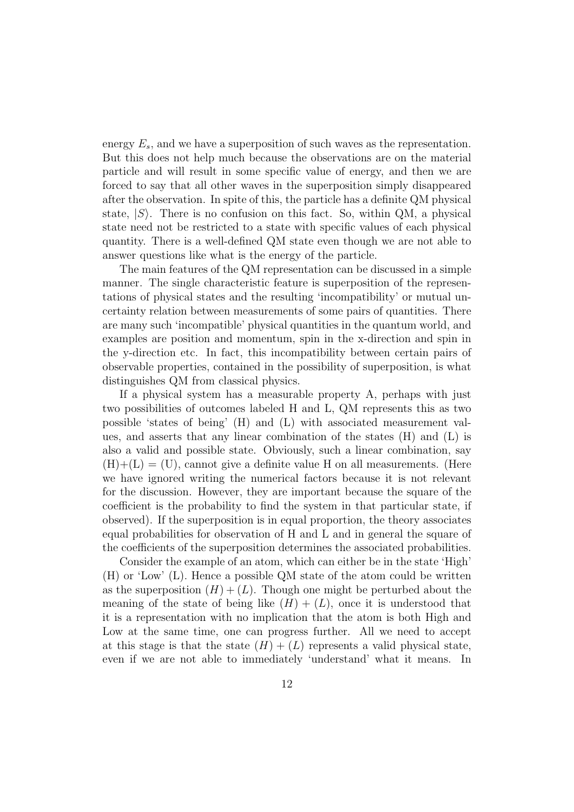energy  $E_s$ , and we have a superposition of such waves as the representation. But this does not help much because the observations are on the material particle and will result in some specific value of energy, and then we are forced to say that all other waves in the superposition simply disappeared after the observation. In spite of this, the particle has a definite QM physical state,  $|S\rangle$ . There is no confusion on this fact. So, within QM, a physical state need not be restricted to a state with specific values of each physical quantity. There is a well-defined QM state even though we are not able to answer questions like what is the energy of the particle.

The main features of the QM representation can be discussed in a simple manner. The single characteristic feature is superposition of the representations of physical states and the resulting 'incompatibility' or mutual uncertainty relation between measurements of some pairs of quantities. There are many such 'incompatible' physical quantities in the quantum world, and examples are position and momentum, spin in the x-direction and spin in the y-direction etc. In fact, this incompatibility between certain pairs of observable properties, contained in the possibility of superposition, is what distinguishes QM from classical physics.

If a physical system has a measurable property A, perhaps with just two possibilities of outcomes labeled H and L, QM represents this as two possible 'states of being' (H) and (L) with associated measurement values, and asserts that any linear combination of the states (H) and (L) is also a valid and possible state. Obviously, such a linear combination, say  $(H)+(L) = (U)$ , cannot give a definite value H on all measurements. (Here we have ignored writing the numerical factors because it is not relevant for the discussion. However, they are important because the square of the coefficient is the probability to find the system in that particular state, if observed). If the superposition is in equal proportion, the theory associates equal probabilities for observation of H and L and in general the square of the coefficients of the superposition determines the associated probabilities.

Consider the example of an atom, which can either be in the state 'High' (H) or 'Low' (L). Hence a possible QM state of the atom could be written as the superposition  $(H) + (L)$ . Though one might be perturbed about the meaning of the state of being like  $(H) + (L)$ , once it is understood that it is a representation with no implication that the atom is both High and Low at the same time, one can progress further. All we need to accept at this stage is that the state  $(H) + (L)$  represents a valid physical state, even if we are not able to immediately 'understand' what it means. In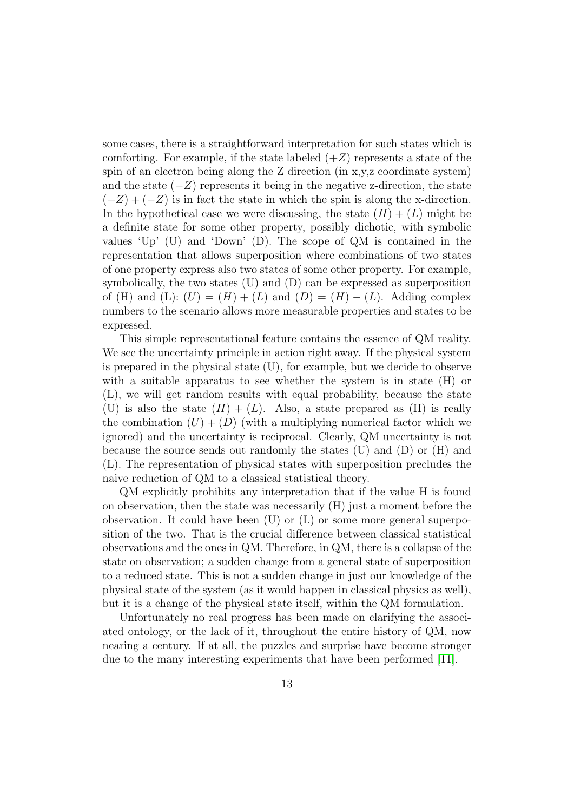some cases, there is a straightforward interpretation for such states which is comforting. For example, if the state labeled  $(+Z)$  represents a state of the spin of an electron being along the Z direction (in x,y,z coordinate system) and the state  $(-Z)$  represents it being in the negative z-direction, the state  $(+Z) + (-Z)$  is in fact the state in which the spin is along the x-direction. In the hypothetical case we were discussing, the state  $(H) + (L)$  might be a definite state for some other property, possibly dichotic, with symbolic values 'Up' (U) and 'Down' (D). The scope of QM is contained in the representation that allows superposition where combinations of two states of one property express also two states of some other property. For example, symbolically, the two states (U) and (D) can be expressed as superposition of (H) and (L):  $(U) = (H) + (L)$  and  $(D) = (H) - (L)$ . Adding complex numbers to the scenario allows more measurable properties and states to be expressed.

This simple representational feature contains the essence of QM reality. We see the uncertainty principle in action right away. If the physical system is prepared in the physical state (U), for example, but we decide to observe with a suitable apparatus to see whether the system is in state (H) or (L), we will get random results with equal probability, because the state (U) is also the state  $(H) + (L)$ . Also, a state prepared as  $(H)$  is really the combination  $(U) + (D)$  (with a multiplying numerical factor which we ignored) and the uncertainty is reciprocal. Clearly, QM uncertainty is not because the source sends out randomly the states  $(U)$  and  $(D)$  or  $(H)$  and (L). The representation of physical states with superposition precludes the naive reduction of QM to a classical statistical theory.

QM explicitly prohibits any interpretation that if the value H is found on observation, then the state was necessarily (H) just a moment before the observation. It could have been  $(U)$  or  $(L)$  or some more general superposition of the two. That is the crucial difference between classical statistical observations and the ones in QM. Therefore, in QM, there is a collapse of the state on observation; a sudden change from a general state of superposition to a reduced state. This is not a sudden change in just our knowledge of the physical state of the system (as it would happen in classical physics as well), but it is a change of the physical state itself, within the QM formulation.

Unfortunately no real progress has been made on clarifying the associated ontology, or the lack of it, throughout the entire history of QM, now nearing a century. If at all, the puzzles and surprise have become stronger due to the many interesting experiments that have been performed [\[11\]](#page-30-10).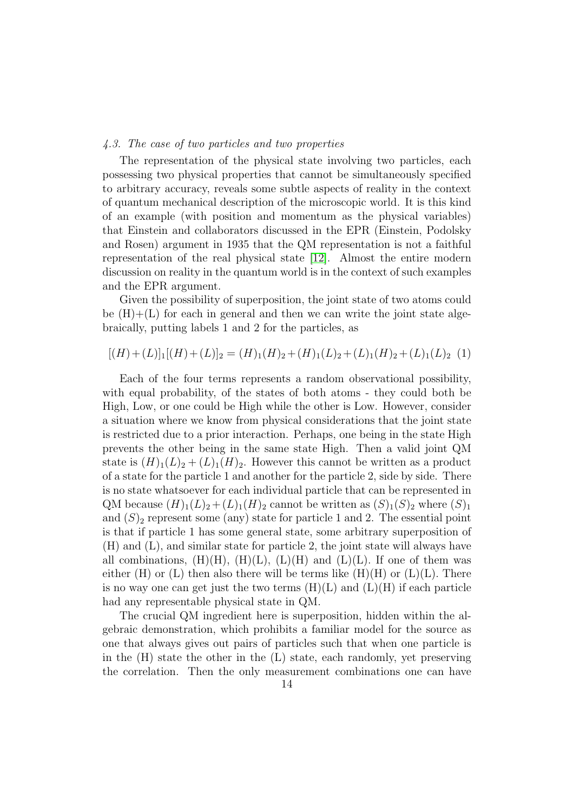### 4.3. The case of two particles and two properties

The representation of the physical state involving two particles, each possessing two physical properties that cannot be simultaneously specified to arbitrary accuracy, reveals some subtle aspects of reality in the context of quantum mechanical description of the microscopic world. It is this kind of an example (with position and momentum as the physical variables) that Einstein and collaborators discussed in the EPR (Einstein, Podolsky and Rosen) argument in 1935 that the QM representation is not a faithful representation of the real physical state [\[12\]](#page-30-11). Almost the entire modern discussion on reality in the quantum world is in the context of such examples and the EPR argument.

Given the possibility of superposition, the joint state of two atoms could be  $(H)+(L)$  for each in general and then we can write the joint state algebraically, putting labels 1 and 2 for the particles, as

$$
[(H) + (L)]_1[(H) + (L)]_2 = (H)_1(H)_2 + (H)_1(L)_2 + (L)_1(H)_2 + (L)_1(L)_2
$$
 (1)

Each of the four terms represents a random observational possibility, with equal probability, of the states of both atoms - they could both be High, Low, or one could be High while the other is Low. However, consider a situation where we know from physical considerations that the joint state is restricted due to a prior interaction. Perhaps, one being in the state High prevents the other being in the same state High. Then a valid joint QM state is  $(H)<sub>1</sub>(L)<sub>2</sub> + (L)<sub>1</sub>(H)<sub>2</sub>$ . However this cannot be written as a product of a state for the particle 1 and another for the particle 2, side by side. There is no state whatsoever for each individual particle that can be represented in QM because  $(H)_1(L)_2 + (L)_1(H)_2$  cannot be written as  $(S)_1(S)_2$  where  $(S)_1$ and  $(S)_2$  represent some (any) state for particle 1 and 2. The essential point is that if particle 1 has some general state, some arbitrary superposition of (H) and (L), and similar state for particle 2, the joint state will always have all combinations,  $(H)(H)$ ,  $(H)(L)$ ,  $(L)(H)$  and  $(L)(L)$ . If one of them was either (H) or (L) then also there will be terms like  $(H)(H)$  or  $(L)(L)$ . There is no way one can get just the two terms  $(H)(L)$  and  $(L)(H)$  if each particle had any representable physical state in QM.

The crucial QM ingredient here is superposition, hidden within the algebraic demonstration, which prohibits a familiar model for the source as one that always gives out pairs of particles such that when one particle is in the (H) state the other in the (L) state, each randomly, yet preserving the correlation. Then the only measurement combinations one can have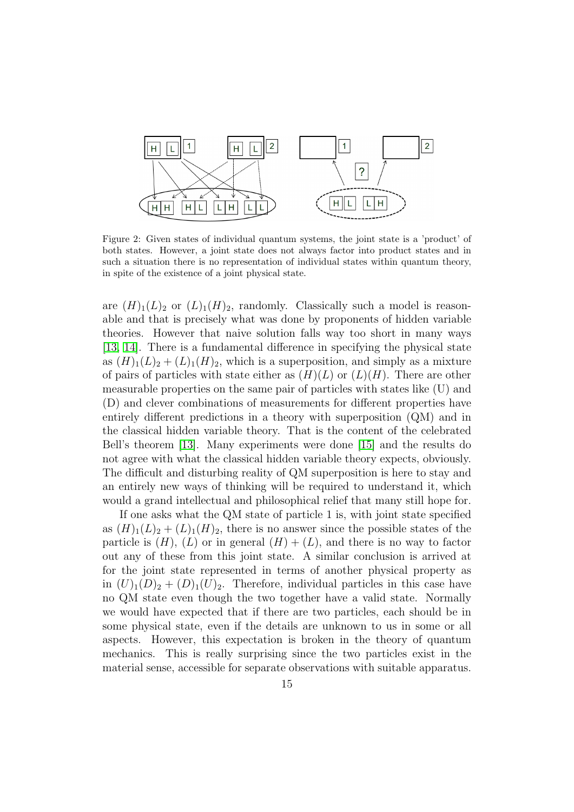

Figure 2: Given states of individual quantum systems, the joint state is a 'product' of both states. However, a joint state does not always factor into product states and in such a situation there is no representation of individual states within quantum theory, in spite of the existence of a joint physical state.

are  $(H)_1(L)_2$  or  $(L)_1(H)_2$ , randomly. Classically such a model is reasonable and that is precisely what was done by proponents of hidden variable theories. However that naive solution falls way too short in many ways [\[13,](#page-30-12) [14\]](#page-30-13). There is a fundamental difference in specifying the physical state as  $(H)<sub>1</sub>(L)<sub>2</sub> + (L)<sub>1</sub>(H)<sub>2</sub>$ , which is a superposition, and simply as a mixture of pairs of particles with state either as  $(H)(L)$  or  $(L)(H)$ . There are other measurable properties on the same pair of particles with states like (U) and (D) and clever combinations of measurements for different properties have entirely different predictions in a theory with superposition (QM) and in the classical hidden variable theory. That is the content of the celebrated Bell's theorem [\[13\]](#page-30-12). Many experiments were done [\[15\]](#page-31-0) and the results do not agree with what the classical hidden variable theory expects, obviously. The difficult and disturbing reality of QM superposition is here to stay and an entirely new ways of thinking will be required to understand it, which would a grand intellectual and philosophical relief that many still hope for.

If one asks what the QM state of particle 1 is, with joint state specified as  $(H)<sub>1</sub>(L)<sub>2</sub> + (L)<sub>1</sub>(H)<sub>2</sub>$ , there is no answer since the possible states of the particle is  $(H)$ ,  $(L)$  or in general  $(H) + (L)$ , and there is no way to factor out any of these from this joint state. A similar conclusion is arrived at for the joint state represented in terms of another physical property as in  $(U)_1(D)_2 + (D)_1(U)_2$ . Therefore, individual particles in this case have no QM state even though the two together have a valid state. Normally we would have expected that if there are two particles, each should be in some physical state, even if the details are unknown to us in some or all aspects. However, this expectation is broken in the theory of quantum mechanics. This is really surprising since the two particles exist in the material sense, accessible for separate observations with suitable apparatus.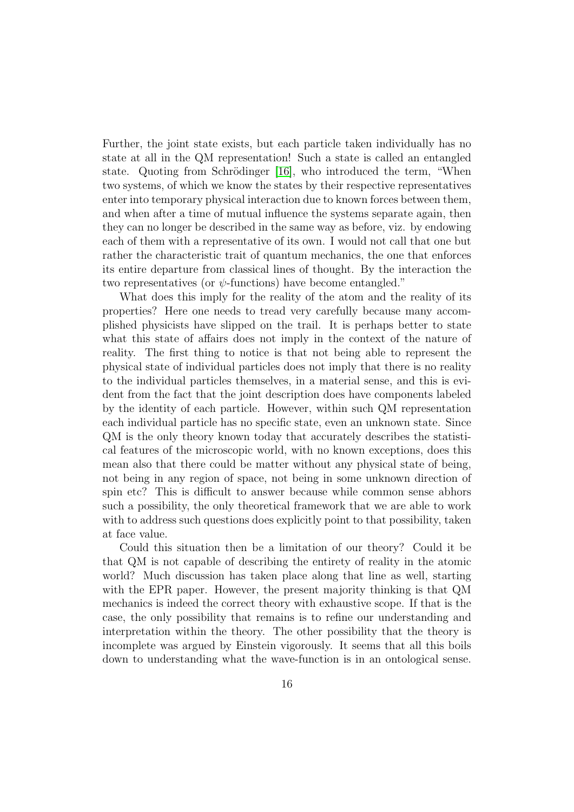Further, the joint state exists, but each particle taken individually has no state at all in the QM representation! Such a state is called an entangled state. Quoting from Schrödinger  $[16]$ , who introduced the term, "When two systems, of which we know the states by their respective representatives enter into temporary physical interaction due to known forces between them, and when after a time of mutual influence the systems separate again, then they can no longer be described in the same way as before, viz. by endowing each of them with a representative of its own. I would not call that one but rather the characteristic trait of quantum mechanics, the one that enforces its entire departure from classical lines of thought. By the interaction the two representatives (or  $\psi$ -functions) have become entangled."

What does this imply for the reality of the atom and the reality of its properties? Here one needs to tread very carefully because many accomplished physicists have slipped on the trail. It is perhaps better to state what this state of affairs does not imply in the context of the nature of reality. The first thing to notice is that not being able to represent the physical state of individual particles does not imply that there is no reality to the individual particles themselves, in a material sense, and this is evident from the fact that the joint description does have components labeled by the identity of each particle. However, within such QM representation each individual particle has no specific state, even an unknown state. Since QM is the only theory known today that accurately describes the statistical features of the microscopic world, with no known exceptions, does this mean also that there could be matter without any physical state of being, not being in any region of space, not being in some unknown direction of spin etc? This is difficult to answer because while common sense abhors such a possibility, the only theoretical framework that we are able to work with to address such questions does explicitly point to that possibility, taken at face value.

Could this situation then be a limitation of our theory? Could it be that QM is not capable of describing the entirety of reality in the atomic world? Much discussion has taken place along that line as well, starting with the EPR paper. However, the present majority thinking is that QM mechanics is indeed the correct theory with exhaustive scope. If that is the case, the only possibility that remains is to refine our understanding and interpretation within the theory. The other possibility that the theory is incomplete was argued by Einstein vigorously. It seems that all this boils down to understanding what the wave-function is in an ontological sense.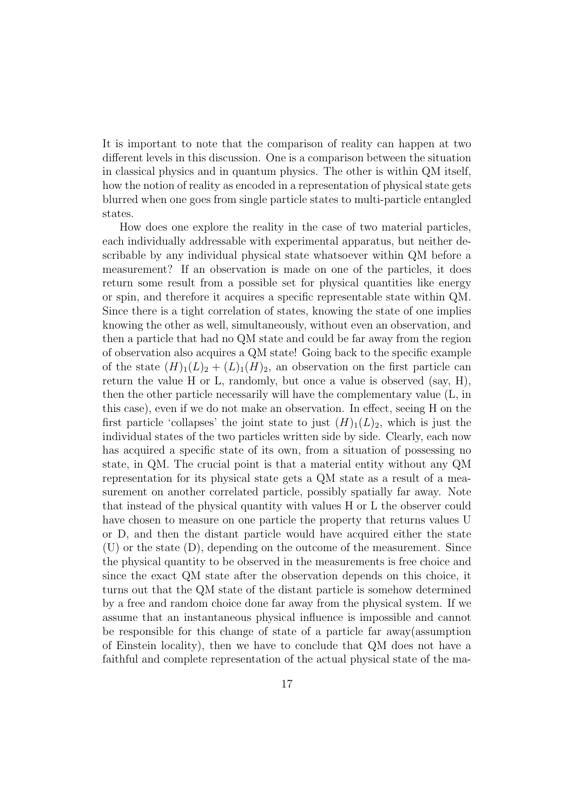It is important to note that the comparison of reality can happen at two different levels in this discussion. One is a comparison between the situation in classical physics and in quantum physics. The other is within QM itself, how the notion of reality as encoded in a representation of physical state gets blurred when one goes from single particle states to multi-particle entangled states.

How does one explore the reality in the case of two material particles, each individually addressable with experimental apparatus, but neither describable by any individual physical state whatsoever within QM before a measurement? If an observation is made on one of the particles, it does return some result from a possible set for physical quantities like energy or spin, and therefore it acquires a specific representable state within QM. Since there is a tight correlation of states, knowing the state of one implies knowing the other as well, simultaneously, without even an observation, and then a particle that had no QM state and could be far away from the region of observation also acquires a QM state! Going back to the specific example of the state  $(H)_1(L)_2 + (L)_1(H)_2$ , an observation on the first particle can return the value H or L, randomly, but once a value is observed (say, H), then the other particle necessarily will have the complementary value (L, in this case), even if we do not make an observation. In effect, seeing H on the first particle 'collapses' the joint state to just  $(H)_1(L)_2$ , which is just the individual states of the two particles written side by side. Clearly, each now has acquired a specific state of its own, from a situation of possessing no state, in QM. The crucial point is that a material entity without any QM representation for its physical state gets a QM state as a result of a measurement on another correlated particle, possibly spatially far away. Note that instead of the physical quantity with values H or L the observer could have chosen to measure on one particle the property that returns values U or D, and then the distant particle would have acquired either the state (U) or the state (D), depending on the outcome of the measurement. Since the physical quantity to be observed in the measurements is free choice and since the exact QM state after the observation depends on this choice, it turns out that the QM state of the distant particle is somehow determined by a free and random choice done far away from the physical system. If we assume that an instantaneous physical influence is impossible and cannot be responsible for this change of state of a particle far away(assumption of Einstein locality), then we have to conclude that QM does not have a faithful and complete representation of the actual physical state of the ma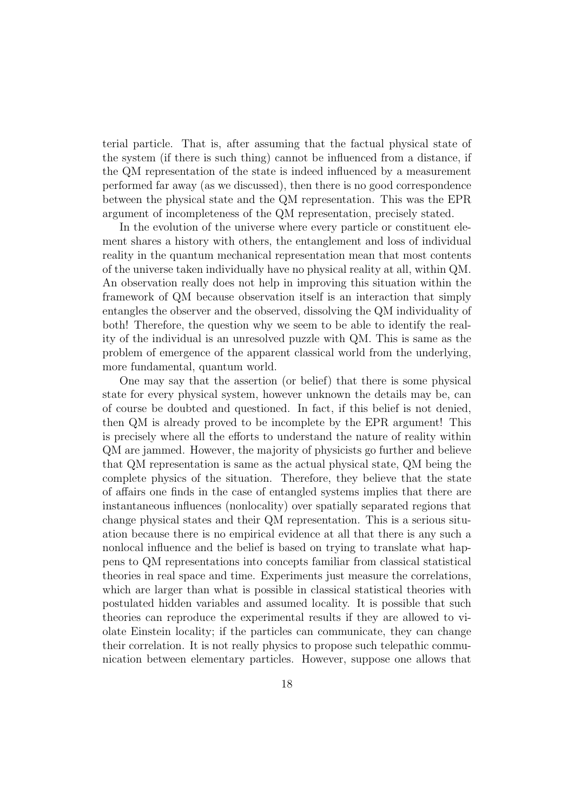terial particle. That is, after assuming that the factual physical state of the system (if there is such thing) cannot be influenced from a distance, if the QM representation of the state is indeed influenced by a measurement performed far away (as we discussed), then there is no good correspondence between the physical state and the QM representation. This was the EPR argument of incompleteness of the QM representation, precisely stated.

In the evolution of the universe where every particle or constituent element shares a history with others, the entanglement and loss of individual reality in the quantum mechanical representation mean that most contents of the universe taken individually have no physical reality at all, within QM. An observation really does not help in improving this situation within the framework of QM because observation itself is an interaction that simply entangles the observer and the observed, dissolving the QM individuality of both! Therefore, the question why we seem to be able to identify the reality of the individual is an unresolved puzzle with QM. This is same as the problem of emergence of the apparent classical world from the underlying, more fundamental, quantum world.

One may say that the assertion (or belief) that there is some physical state for every physical system, however unknown the details may be, can of course be doubted and questioned. In fact, if this belief is not denied, then QM is already proved to be incomplete by the EPR argument! This is precisely where all the efforts to understand the nature of reality within QM are jammed. However, the majority of physicists go further and believe that QM representation is same as the actual physical state, QM being the complete physics of the situation. Therefore, they believe that the state of affairs one finds in the case of entangled systems implies that there are instantaneous influences (nonlocality) over spatially separated regions that change physical states and their QM representation. This is a serious situation because there is no empirical evidence at all that there is any such a nonlocal influence and the belief is based on trying to translate what happens to QM representations into concepts familiar from classical statistical theories in real space and time. Experiments just measure the correlations, which are larger than what is possible in classical statistical theories with postulated hidden variables and assumed locality. It is possible that such theories can reproduce the experimental results if they are allowed to violate Einstein locality; if the particles can communicate, they can change their correlation. It is not really physics to propose such telepathic communication between elementary particles. However, suppose one allows that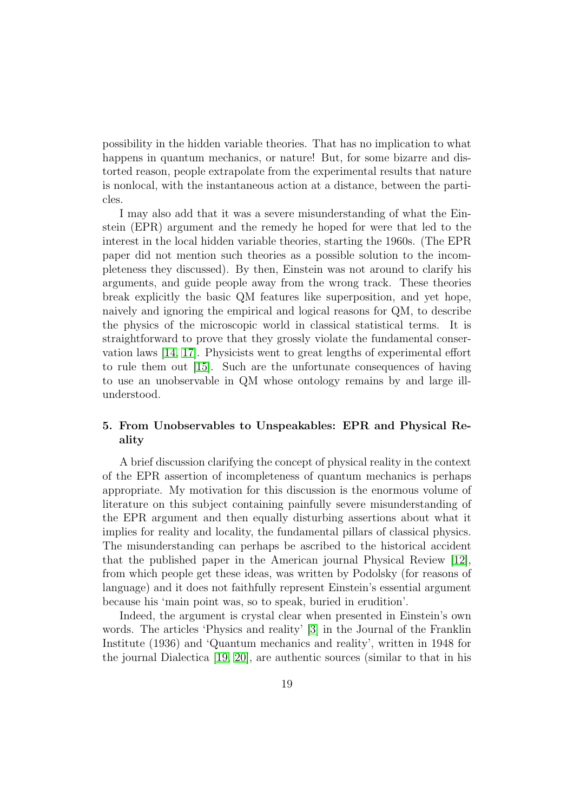possibility in the hidden variable theories. That has no implication to what happens in quantum mechanics, or nature! But, for some bizarre and distorted reason, people extrapolate from the experimental results that nature is nonlocal, with the instantaneous action at a distance, between the particles.

I may also add that it was a severe misunderstanding of what the Einstein (EPR) argument and the remedy he hoped for were that led to the interest in the local hidden variable theories, starting the 1960s. (The EPR paper did not mention such theories as a possible solution to the incompleteness they discussed). By then, Einstein was not around to clarify his arguments, and guide people away from the wrong track. These theories break explicitly the basic QM features like superposition, and yet hope, naively and ignoring the empirical and logical reasons for QM, to describe the physics of the microscopic world in classical statistical terms. It is straightforward to prove that they grossly violate the fundamental conservation laws [\[14,](#page-30-13) [17\]](#page-31-2). Physicists went to great lengths of experimental effort to rule them out [\[15\]](#page-31-0). Such are the unfortunate consequences of having to use an unobservable in QM whose ontology remains by and large illunderstood.

## 5. From Unobservables to Unspeakables: EPR and Physical Reality

A brief discussion clarifying the concept of physical reality in the context of the EPR assertion of incompleteness of quantum mechanics is perhaps appropriate. My motivation for this discussion is the enormous volume of literature on this subject containing painfully severe misunderstanding of the EPR argument and then equally disturbing assertions about what it implies for reality and locality, the fundamental pillars of classical physics. The misunderstanding can perhaps be ascribed to the historical accident that the published paper in the American journal Physical Review [\[12\]](#page-30-11), from which people get these ideas, was written by Podolsky (for reasons of language) and it does not faithfully represent Einstein's essential argument because his 'main point was, so to speak, buried in erudition'.

Indeed, the argument is crystal clear when presented in Einstein's own words. The articles 'Physics and reality' [\[3\]](#page-30-2) in the Journal of the Franklin Institute (1936) and 'Quantum mechanics and reality', written in 1948 for the journal Dialectica [\[19,](#page-31-3) [20\]](#page-31-4), are authentic sources (similar to that in his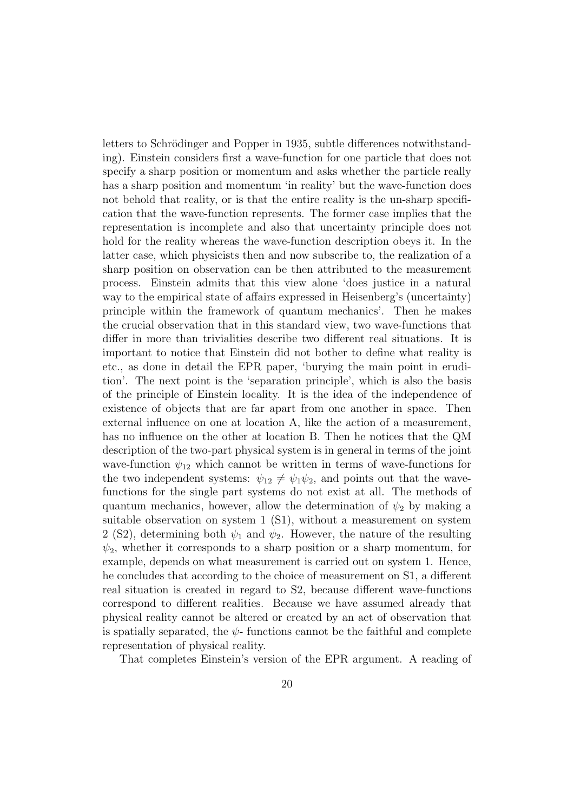letters to Schrödinger and Popper in 1935, subtle differences notwithstanding). Einstein considers first a wave-function for one particle that does not specify a sharp position or momentum and asks whether the particle really has a sharp position and momentum 'in reality' but the wave-function does not behold that reality, or is that the entire reality is the un-sharp specification that the wave-function represents. The former case implies that the representation is incomplete and also that uncertainty principle does not hold for the reality whereas the wave-function description obeys it. In the latter case, which physicists then and now subscribe to, the realization of a sharp position on observation can be then attributed to the measurement process. Einstein admits that this view alone 'does justice in a natural way to the empirical state of affairs expressed in Heisenberg's (uncertainty) principle within the framework of quantum mechanics'. Then he makes the crucial observation that in this standard view, two wave-functions that differ in more than trivialities describe two different real situations. It is important to notice that Einstein did not bother to define what reality is etc., as done in detail the EPR paper, 'burying the main point in erudition'. The next point is the 'separation principle', which is also the basis of the principle of Einstein locality. It is the idea of the independence of existence of objects that are far apart from one another in space. Then external influence on one at location A, like the action of a measurement, has no influence on the other at location B. Then he notices that the QM description of the two-part physical system is in general in terms of the joint wave-function  $\psi_{12}$  which cannot be written in terms of wave-functions for the two independent systems:  $\psi_{12} \neq \psi_1 \psi_2$ , and points out that the wavefunctions for the single part systems do not exist at all. The methods of quantum mechanics, however, allow the determination of  $\psi_2$  by making a suitable observation on system 1 (S1), without a measurement on system 2 (S2), determining both  $\psi_1$  and  $\psi_2$ . However, the nature of the resulting  $\psi_2$ , whether it corresponds to a sharp position or a sharp momentum, for example, depends on what measurement is carried out on system 1. Hence, he concludes that according to the choice of measurement on S1, a different real situation is created in regard to S2, because different wave-functions correspond to different realities. Because we have assumed already that physical reality cannot be altered or created by an act of observation that is spatially separated, the  $\psi$ -functions cannot be the faithful and complete representation of physical reality.

That completes Einstein's version of the EPR argument. A reading of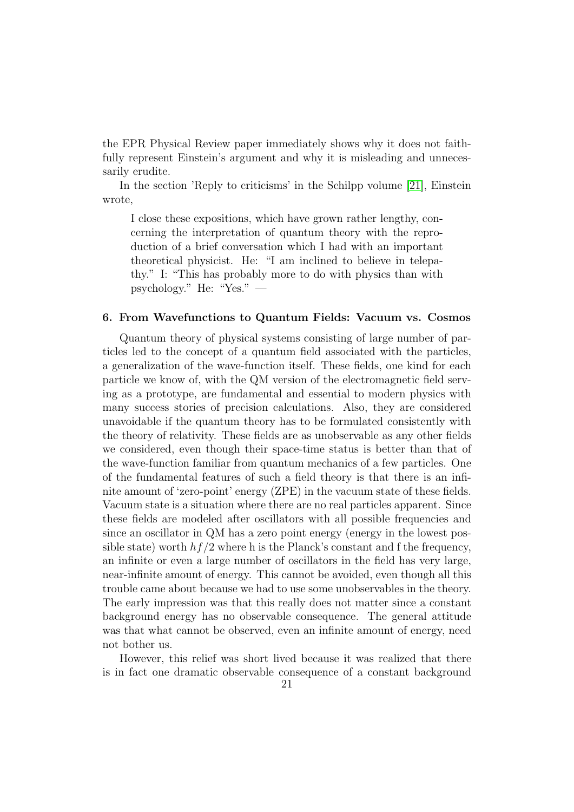the EPR Physical Review paper immediately shows why it does not faithfully represent Einstein's argument and why it is misleading and unnecessarily erudite.

In the section 'Reply to criticisms' in the Schilpp volume [\[21\]](#page-31-5), Einstein wrote,

I close these expositions, which have grown rather lengthy, concerning the interpretation of quantum theory with the reproduction of a brief conversation which I had with an important theoretical physicist. He: "I am inclined to believe in telepathy." I: "This has probably more to do with physics than with psychology." He: "Yes." —

### 6. From Wavefunctions to Quantum Fields: Vacuum vs. Cosmos

Quantum theory of physical systems consisting of large number of particles led to the concept of a quantum field associated with the particles, a generalization of the wave-function itself. These fields, one kind for each particle we know of, with the QM version of the electromagnetic field serving as a prototype, are fundamental and essential to modern physics with many success stories of precision calculations. Also, they are considered unavoidable if the quantum theory has to be formulated consistently with the theory of relativity. These fields are as unobservable as any other fields we considered, even though their space-time status is better than that of the wave-function familiar from quantum mechanics of a few particles. One of the fundamental features of such a field theory is that there is an infinite amount of 'zero-point' energy (ZPE) in the vacuum state of these fields. Vacuum state is a situation where there are no real particles apparent. Since these fields are modeled after oscillators with all possible frequencies and since an oscillator in QM has a zero point energy (energy in the lowest possible state) worth  $hf/2$  where h is the Planck's constant and f the frequency, an infinite or even a large number of oscillators in the field has very large, near-infinite amount of energy. This cannot be avoided, even though all this trouble came about because we had to use some unobservables in the theory. The early impression was that this really does not matter since a constant background energy has no observable consequence. The general attitude was that what cannot be observed, even an infinite amount of energy, need not bother us.

However, this relief was short lived because it was realized that there is in fact one dramatic observable consequence of a constant background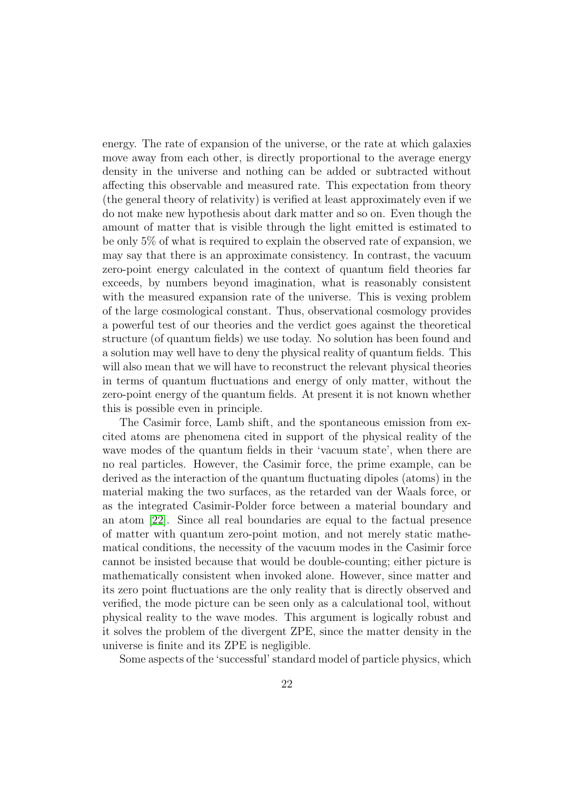energy. The rate of expansion of the universe, or the rate at which galaxies move away from each other, is directly proportional to the average energy density in the universe and nothing can be added or subtracted without affecting this observable and measured rate. This expectation from theory (the general theory of relativity) is verified at least approximately even if we do not make new hypothesis about dark matter and so on. Even though the amount of matter that is visible through the light emitted is estimated to be only 5% of what is required to explain the observed rate of expansion, we may say that there is an approximate consistency. In contrast, the vacuum zero-point energy calculated in the context of quantum field theories far exceeds, by numbers beyond imagination, what is reasonably consistent with the measured expansion rate of the universe. This is vexing problem of the large cosmological constant. Thus, observational cosmology provides a powerful test of our theories and the verdict goes against the theoretical structure (of quantum fields) we use today. No solution has been found and a solution may well have to deny the physical reality of quantum fields. This will also mean that we will have to reconstruct the relevant physical theories in terms of quantum fluctuations and energy of only matter, without the zero-point energy of the quantum fields. At present it is not known whether this is possible even in principle.

The Casimir force, Lamb shift, and the spontaneous emission from excited atoms are phenomena cited in support of the physical reality of the wave modes of the quantum fields in their 'vacuum state', when there are no real particles. However, the Casimir force, the prime example, can be derived as the interaction of the quantum fluctuating dipoles (atoms) in the material making the two surfaces, as the retarded van der Waals force, or as the integrated Casimir-Polder force between a material boundary and an atom [\[22\]](#page-31-6). Since all real boundaries are equal to the factual presence of matter with quantum zero-point motion, and not merely static mathematical conditions, the necessity of the vacuum modes in the Casimir force cannot be insisted because that would be double-counting; either picture is mathematically consistent when invoked alone. However, since matter and its zero point fluctuations are the only reality that is directly observed and verified, the mode picture can be seen only as a calculational tool, without physical reality to the wave modes. This argument is logically robust and it solves the problem of the divergent ZPE, since the matter density in the universe is finite and its ZPE is negligible.

Some aspects of the 'successful' standard model of particle physics, which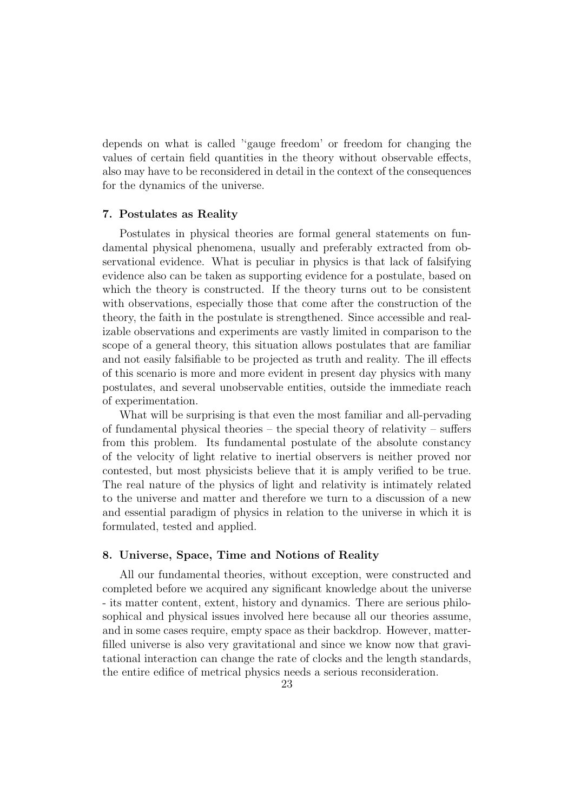depends on what is called ''gauge freedom' or freedom for changing the values of certain field quantities in the theory without observable effects, also may have to be reconsidered in detail in the context of the consequences for the dynamics of the universe.

### 7. Postulates as Reality

Postulates in physical theories are formal general statements on fundamental physical phenomena, usually and preferably extracted from observational evidence. What is peculiar in physics is that lack of falsifying evidence also can be taken as supporting evidence for a postulate, based on which the theory is constructed. If the theory turns out to be consistent with observations, especially those that come after the construction of the theory, the faith in the postulate is strengthened. Since accessible and realizable observations and experiments are vastly limited in comparison to the scope of a general theory, this situation allows postulates that are familiar and not easily falsifiable to be projected as truth and reality. The ill effects of this scenario is more and more evident in present day physics with many postulates, and several unobservable entities, outside the immediate reach of experimentation.

What will be surprising is that even the most familiar and all-pervading of fundamental physical theories – the special theory of relativity – suffers from this problem. Its fundamental postulate of the absolute constancy of the velocity of light relative to inertial observers is neither proved nor contested, but most physicists believe that it is amply verified to be true. The real nature of the physics of light and relativity is intimately related to the universe and matter and therefore we turn to a discussion of a new and essential paradigm of physics in relation to the universe in which it is formulated, tested and applied.

### 8. Universe, Space, Time and Notions of Reality

All our fundamental theories, without exception, were constructed and completed before we acquired any significant knowledge about the universe - its matter content, extent, history and dynamics. There are serious philosophical and physical issues involved here because all our theories assume, and in some cases require, empty space as their backdrop. However, matterfilled universe is also very gravitational and since we know now that gravitational interaction can change the rate of clocks and the length standards, the entire edifice of metrical physics needs a serious reconsideration.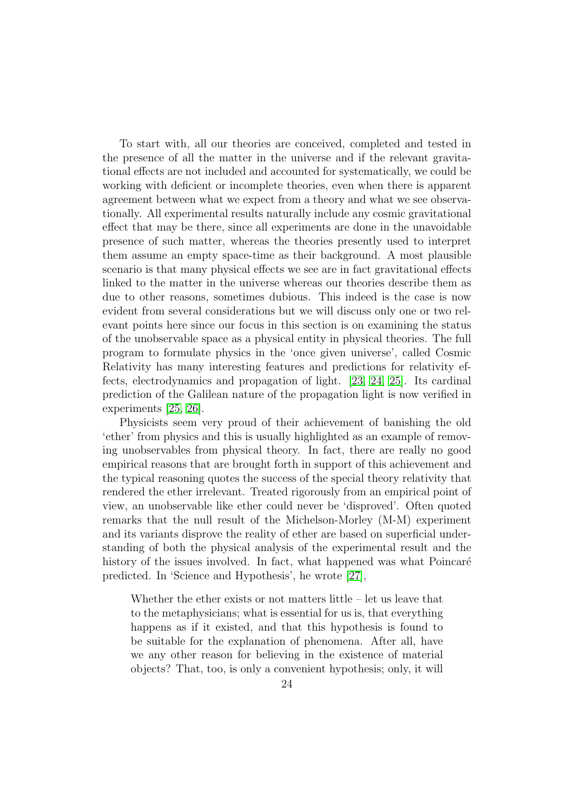To start with, all our theories are conceived, completed and tested in the presence of all the matter in the universe and if the relevant gravitational effects are not included and accounted for systematically, we could be working with deficient or incomplete theories, even when there is apparent agreement between what we expect from a theory and what we see observationally. All experimental results naturally include any cosmic gravitational effect that may be there, since all experiments are done in the unavoidable presence of such matter, whereas the theories presently used to interpret them assume an empty space-time as their background. A most plausible scenario is that many physical effects we see are in fact gravitational effects linked to the matter in the universe whereas our theories describe them as due to other reasons, sometimes dubious. This indeed is the case is now evident from several considerations but we will discuss only one or two relevant points here since our focus in this section is on examining the status of the unobservable space as a physical entity in physical theories. The full program to formulate physics in the 'once given universe', called Cosmic Relativity has many interesting features and predictions for relativity effects, electrodynamics and propagation of light. [\[23,](#page-31-7) [24,](#page-31-8) [25\]](#page-31-9). Its cardinal prediction of the Galilean nature of the propagation light is now verified in experiments [\[25,](#page-31-9) [26\]](#page-31-10).

Physicists seem very proud of their achievement of banishing the old 'ether' from physics and this is usually highlighted as an example of removing unobservables from physical theory. In fact, there are really no good empirical reasons that are brought forth in support of this achievement and the typical reasoning quotes the success of the special theory relativity that rendered the ether irrelevant. Treated rigorously from an empirical point of view, an unobservable like ether could never be 'disproved'. Often quoted remarks that the null result of the Michelson-Morley (M-M) experiment and its variants disprove the reality of ether are based on superficial understanding of both the physical analysis of the experimental result and the history of the issues involved. In fact, what happened was what Poincaré predicted. In 'Science and Hypothesis', he wrote [\[27\]](#page-31-11),

Whether the ether exists or not matters little – let us leave that to the metaphysicians; what is essential for us is, that everything happens as if it existed, and that this hypothesis is found to be suitable for the explanation of phenomena. After all, have we any other reason for believing in the existence of material objects? That, too, is only a convenient hypothesis; only, it will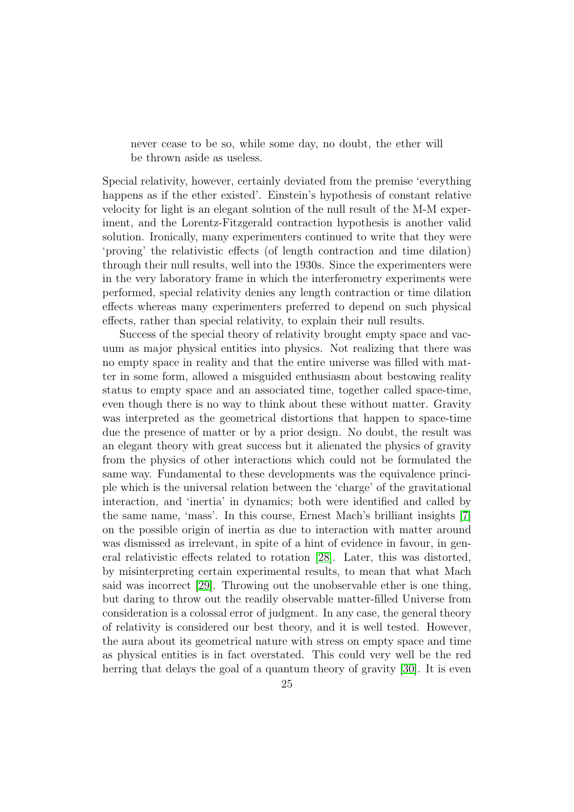never cease to be so, while some day, no doubt, the ether will be thrown aside as useless.

Special relativity, however, certainly deviated from the premise 'everything happens as if the ether existed'. Einstein's hypothesis of constant relative velocity for light is an elegant solution of the null result of the M-M experiment, and the Lorentz-Fitzgerald contraction hypothesis is another valid solution. Ironically, many experimenters continued to write that they were 'proving' the relativistic effects (of length contraction and time dilation) through their null results, well into the 1930s. Since the experimenters were in the very laboratory frame in which the interferometry experiments were performed, special relativity denies any length contraction or time dilation effects whereas many experimenters preferred to depend on such physical effects, rather than special relativity, to explain their null results.

Success of the special theory of relativity brought empty space and vacuum as major physical entities into physics. Not realizing that there was no empty space in reality and that the entire universe was filled with matter in some form, allowed a misguided enthusiasm about bestowing reality status to empty space and an associated time, together called space-time, even though there is no way to think about these without matter. Gravity was interpreted as the geometrical distortions that happen to space-time due the presence of matter or by a prior design. No doubt, the result was an elegant theory with great success but it alienated the physics of gravity from the physics of other interactions which could not be formulated the same way. Fundamental to these developments was the equivalence principle which is the universal relation between the 'charge' of the gravitational interaction, and 'inertia' in dynamics; both were identified and called by the same name, 'mass'. In this course, Ernest Mach's brilliant insights [\[7\]](#page-30-6) on the possible origin of inertia as due to interaction with matter around was dismissed as irrelevant, in spite of a hint of evidence in favour, in general relativistic effects related to rotation [\[28\]](#page-31-12). Later, this was distorted, by misinterpreting certain experimental results, to mean that what Mach said was incorrect [\[29\]](#page-31-13). Throwing out the unobservable ether is one thing, but daring to throw out the readily observable matter-filled Universe from consideration is a colossal error of judgment. In any case, the general theory of relativity is considered our best theory, and it is well tested. However, the aura about its geometrical nature with stress on empty space and time as physical entities is in fact overstated. This could very well be the red herring that delays the goal of a quantum theory of gravity [\[30\]](#page-31-14). It is even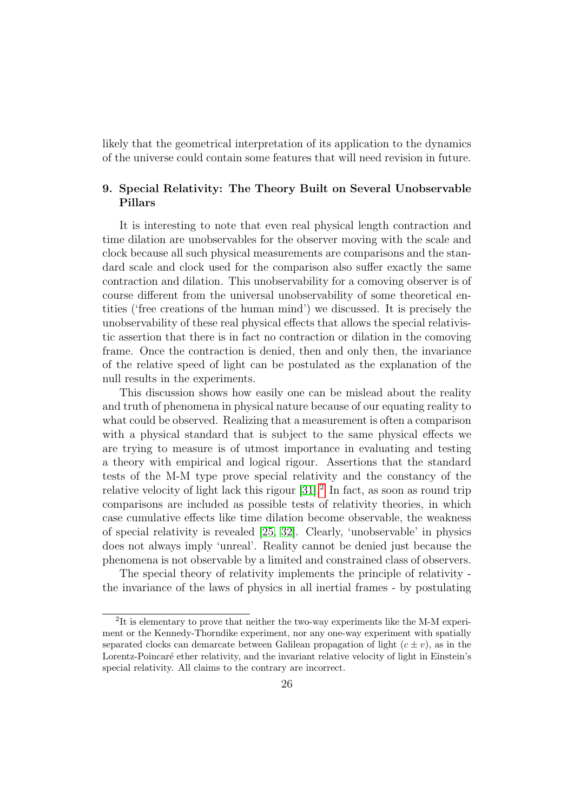likely that the geometrical interpretation of its application to the dynamics of the universe could contain some features that will need revision in future.

# 9. Special Relativity: The Theory Built on Several Unobservable Pillars

It is interesting to note that even real physical length contraction and time dilation are unobservables for the observer moving with the scale and clock because all such physical measurements are comparisons and the standard scale and clock used for the comparison also suffer exactly the same contraction and dilation. This unobservability for a comoving observer is of course different from the universal unobservability of some theoretical entities ('free creations of the human mind') we discussed. It is precisely the unobservability of these real physical effects that allows the special relativistic assertion that there is in fact no contraction or dilation in the comoving frame. Once the contraction is denied, then and only then, the invariance of the relative speed of light can be postulated as the explanation of the null results in the experiments.

This discussion shows how easily one can be mislead about the reality and truth of phenomena in physical nature because of our equating reality to what could be observed. Realizing that a measurement is often a comparison with a physical standard that is subject to the same physical effects we are trying to measure is of utmost importance in evaluating and testing a theory with empirical and logical rigour. Assertions that the standard tests of the M-M type prove special relativity and the constancy of the relative velocity of light lack this rigour  $[31]$ <sup>[2](#page-25-0)</sup>. In fact, as soon as round trip comparisons are included as possible tests of relativity theories, in which case cumulative effects like time dilation become observable, the weakness of special relativity is revealed [\[25,](#page-31-9) [32\]](#page-31-16). Clearly, 'unobservable' in physics does not always imply 'unreal'. Reality cannot be denied just because the phenomena is not observable by a limited and constrained class of observers.

The special theory of relativity implements the principle of relativity the invariance of the laws of physics in all inertial frames - by postulating

<span id="page-25-0"></span><sup>&</sup>lt;sup>2</sup>It is elementary to prove that neither the two-way experiments like the M-M experiment or the Kennedy-Thorndike experiment, nor any one-way experiment with spatially separated clocks can demarcate between Galilean propagation of light  $(c \pm v)$ , as in the Lorentz-Poincaré ether relativity, and the invariant relative velocity of light in Einstein's special relativity. All claims to the contrary are incorrect.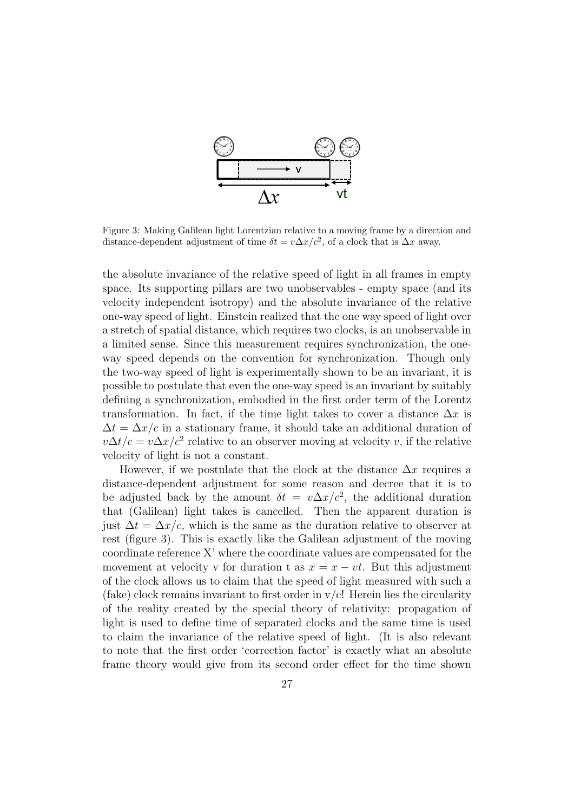

Figure 3: Making Galilean light Lorentzian relative to a moving frame by a direction and distance-dependent adjustment of time  $\delta t = v \Delta x/c^2$ , of a clock that is  $\Delta x$  away.

the absolute invariance of the relative speed of light in all frames in empty space. Its supporting pillars are two unobservables - empty space (and its velocity independent isotropy) and the absolute invariance of the relative one-way speed of light. Einstein realized that the one way speed of light over a stretch of spatial distance, which requires two clocks, is an unobservable in a limited sense. Since this measurement requires synchronization, the oneway speed depends on the convention for synchronization. Though only the two-way speed of light is experimentally shown to be an invariant, it is possible to postulate that even the one-way speed is an invariant by suitably defining a synchronization, embodied in the first order term of the Lorentz transformation. In fact, if the time light takes to cover a distance  $\Delta x$  is  $\Delta t = \Delta x/c$  in a stationary frame, it should take an additional duration of  $v\Delta t/c = v\Delta x/c^2$  relative to an observer moving at velocity v, if the relative velocity of light is not a constant.

However, if we postulate that the clock at the distance  $\Delta x$  requires a distance-dependent adjustment for some reason and decree that it is to be adjusted back by the amount  $\delta t = v \Delta x/c^2$ , the additional duration that (Galilean) light takes is cancelled. Then the apparent duration is just  $\Delta t = \Delta x/c$ , which is the same as the duration relative to observer at rest (figure 3). This is exactly like the Galilean adjustment of the moving coordinate reference X' where the coordinate values are compensated for the movement at velocity v for duration t as  $x = x - vt$ . But this adjustment of the clock allows us to claim that the speed of light measured with such a (fake) clock remains invariant to first order in  $v/c!$  Herein lies the circularity of the reality created by the special theory of relativity: propagation of light is used to define time of separated clocks and the same time is used to claim the invariance of the relative speed of light. (It is also relevant to note that the first order 'correction factor' is exactly what an absolute frame theory would give from its second order effect for the time shown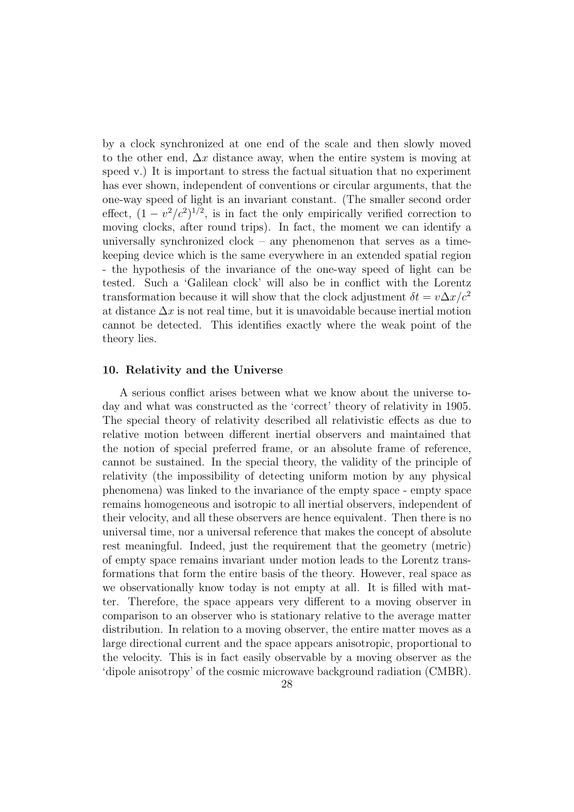by a clock synchronized at one end of the scale and then slowly moved to the other end,  $\Delta x$  distance away, when the entire system is moving at speed v.) It is important to stress the factual situation that no experiment has ever shown, independent of conventions or circular arguments, that the one-way speed of light is an invariant constant. (The smaller second order effect,  $(1 - v^2/c^2)^{1/2}$ , is in fact the only empirically verified correction to moving clocks, after round trips). In fact, the moment we can identify a universally synchronized clock – any phenomenon that serves as a timekeeping device which is the same everywhere in an extended spatial region - the hypothesis of the invariance of the one-way speed of light can be tested. Such a 'Galilean clock' will also be in conflict with the Lorentz transformation because it will show that the clock adjustment  $\delta t = v \Delta x/c^2$ at distance  $\Delta x$  is not real time, but it is unavoidable because inertial motion cannot be detected. This identifies exactly where the weak point of the theory lies.

### 10. Relativity and the Universe

A serious conflict arises between what we know about the universe today and what was constructed as the 'correct' theory of relativity in 1905. The special theory of relativity described all relativistic effects as due to relative motion between different inertial observers and maintained that the notion of special preferred frame, or an absolute frame of reference, cannot be sustained. In the special theory, the validity of the principle of relativity (the impossibility of detecting uniform motion by any physical phenomena) was linked to the invariance of the empty space - empty space remains homogeneous and isotropic to all inertial observers, independent of their velocity, and all these observers are hence equivalent. Then there is no universal time, nor a universal reference that makes the concept of absolute rest meaningful. Indeed, just the requirement that the geometry (metric) of empty space remains invariant under motion leads to the Lorentz transformations that form the entire basis of the theory. However, real space as we observationally know today is not empty at all. It is filled with matter. Therefore, the space appears very different to a moving observer in comparison to an observer who is stationary relative to the average matter distribution. In relation to a moving observer, the entire matter moves as a large directional current and the space appears anisotropic, proportional to the velocity. This is in fact easily observable by a moving observer as the 'dipole anisotropy' of the cosmic microwave background radiation (CMBR).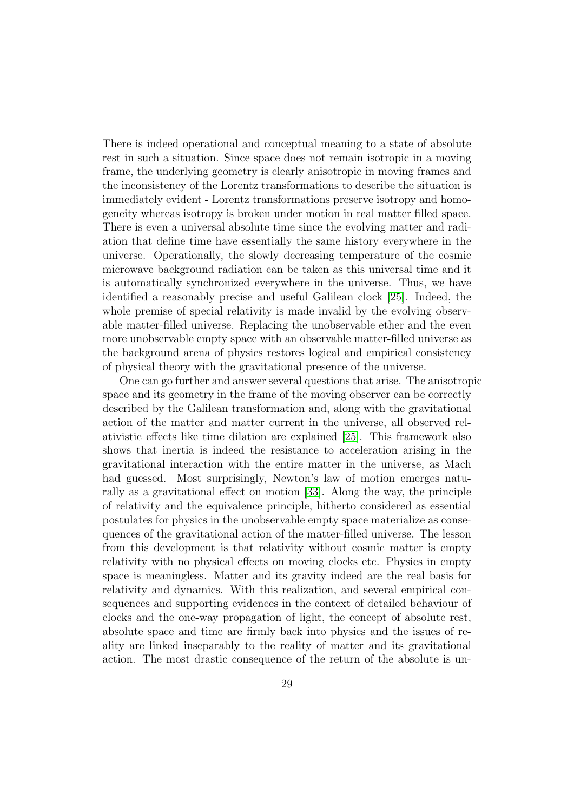There is indeed operational and conceptual meaning to a state of absolute rest in such a situation. Since space does not remain isotropic in a moving frame, the underlying geometry is clearly anisotropic in moving frames and the inconsistency of the Lorentz transformations to describe the situation is immediately evident - Lorentz transformations preserve isotropy and homogeneity whereas isotropy is broken under motion in real matter filled space. There is even a universal absolute time since the evolving matter and radiation that define time have essentially the same history everywhere in the universe. Operationally, the slowly decreasing temperature of the cosmic microwave background radiation can be taken as this universal time and it is automatically synchronized everywhere in the universe. Thus, we have identified a reasonably precise and useful Galilean clock [\[25\]](#page-31-9). Indeed, the whole premise of special relativity is made invalid by the evolving observable matter-filled universe. Replacing the unobservable ether and the even more unobservable empty space with an observable matter-filled universe as the background arena of physics restores logical and empirical consistency of physical theory with the gravitational presence of the universe.

One can go further and answer several questions that arise. The anisotropic space and its geometry in the frame of the moving observer can be correctly described by the Galilean transformation and, along with the gravitational action of the matter and matter current in the universe, all observed relativistic effects like time dilation are explained [\[25\]](#page-31-9). This framework also shows that inertia is indeed the resistance to acceleration arising in the gravitational interaction with the entire matter in the universe, as Mach had guessed. Most surprisingly, Newton's law of motion emerges naturally as a gravitational effect on motion [\[33\]](#page-31-17). Along the way, the principle of relativity and the equivalence principle, hitherto considered as essential postulates for physics in the unobservable empty space materialize as consequences of the gravitational action of the matter-filled universe. The lesson from this development is that relativity without cosmic matter is empty relativity with no physical effects on moving clocks etc. Physics in empty space is meaningless. Matter and its gravity indeed are the real basis for relativity and dynamics. With this realization, and several empirical consequences and supporting evidences in the context of detailed behaviour of clocks and the one-way propagation of light, the concept of absolute rest, absolute space and time are firmly back into physics and the issues of reality are linked inseparably to the reality of matter and its gravitational action. The most drastic consequence of the return of the absolute is un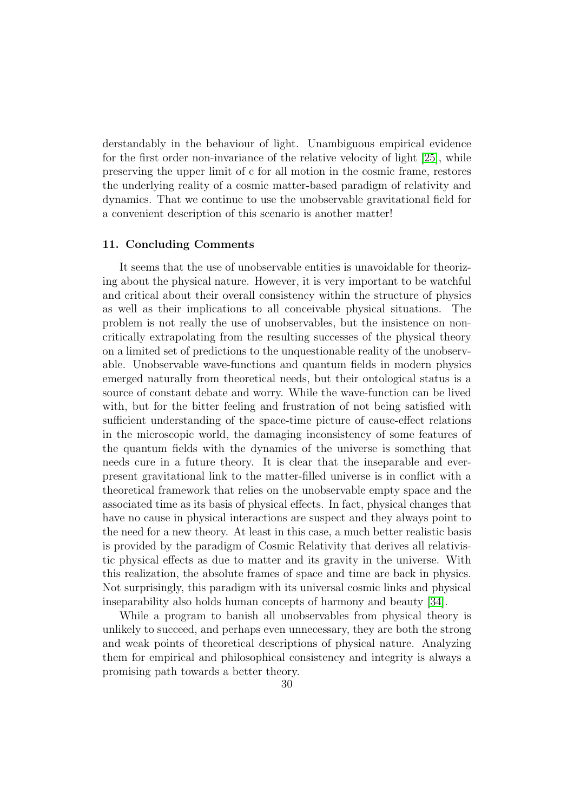derstandably in the behaviour of light. Unambiguous empirical evidence for the first order non-invariance of the relative velocity of light [\[25\]](#page-31-9), while preserving the upper limit of c for all motion in the cosmic frame, restores the underlying reality of a cosmic matter-based paradigm of relativity and dynamics. That we continue to use the unobservable gravitational field for a convenient description of this scenario is another matter!

### 11. Concluding Comments

It seems that the use of unobservable entities is unavoidable for theorizing about the physical nature. However, it is very important to be watchful and critical about their overall consistency within the structure of physics as well as their implications to all conceivable physical situations. The problem is not really the use of unobservables, but the insistence on noncritically extrapolating from the resulting successes of the physical theory on a limited set of predictions to the unquestionable reality of the unobservable. Unobservable wave-functions and quantum fields in modern physics emerged naturally from theoretical needs, but their ontological status is a source of constant debate and worry. While the wave-function can be lived with, but for the bitter feeling and frustration of not being satisfied with sufficient understanding of the space-time picture of cause-effect relations in the microscopic world, the damaging inconsistency of some features of the quantum fields with the dynamics of the universe is something that needs cure in a future theory. It is clear that the inseparable and everpresent gravitational link to the matter-filled universe is in conflict with a theoretical framework that relies on the unobservable empty space and the associated time as its basis of physical effects. In fact, physical changes that have no cause in physical interactions are suspect and they always point to the need for a new theory. At least in this case, a much better realistic basis is provided by the paradigm of Cosmic Relativity that derives all relativistic physical effects as due to matter and its gravity in the universe. With this realization, the absolute frames of space and time are back in physics. Not surprisingly, this paradigm with its universal cosmic links and physical inseparability also holds human concepts of harmony and beauty [\[34\]](#page-31-18).

While a program to banish all unobservables from physical theory is unlikely to succeed, and perhaps even unnecessary, they are both the strong and weak points of theoretical descriptions of physical nature. Analyzing them for empirical and philosophical consistency and integrity is always a promising path towards a better theory.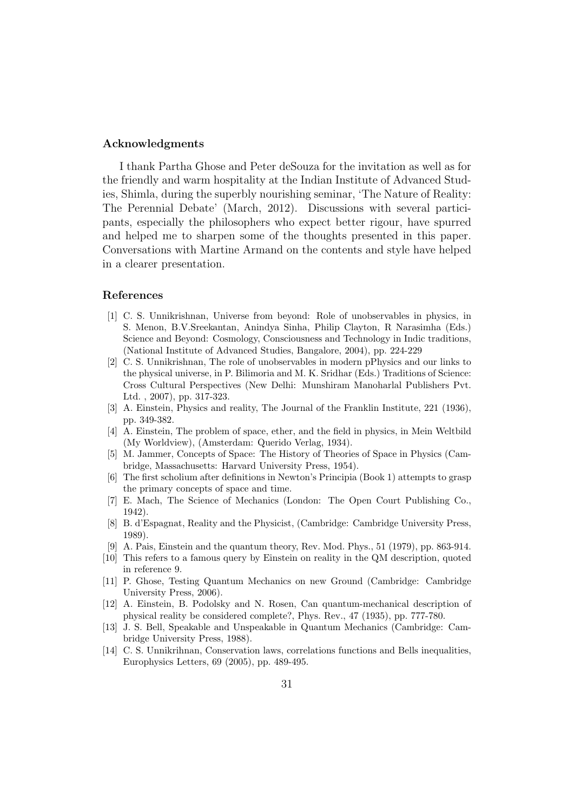### Acknowledgments

I thank Partha Ghose and Peter deSouza for the invitation as well as for the friendly and warm hospitality at the Indian Institute of Advanced Studies, Shimla, during the superbly nourishing seminar, 'The Nature of Reality: The Perennial Debate' (March, 2012). Discussions with several participants, especially the philosophers who expect better rigour, have spurred and helped me to sharpen some of the thoughts presented in this paper. Conversations with Martine Armand on the contents and style have helped in a clearer presentation.

### References

- <span id="page-30-0"></span>[1] C. S. Unnikrishnan, Universe from beyond: Role of unobservables in physics, in S. Menon, B.V.Sreekantan, Anindya Sinha, Philip Clayton, R Narasimha (Eds.) Science and Beyond: Cosmology, Consciousness and Technology in Indic traditions, (National Institute of Advanced Studies, Bangalore, 2004), pp. 224-229
- <span id="page-30-1"></span>[2] C. S. Unnikrishnan, The role of unobservables in modern pPhysics and our links to the physical universe, in P. Bilimoria and M. K. Sridhar (Eds.) Traditions of Science: Cross Cultural Perspectives (New Delhi: Munshiram Manoharlal Publishers Pvt. Ltd. , 2007), pp. 317-323.
- <span id="page-30-2"></span>[3] A. Einstein, Physics and reality, The Journal of the Franklin Institute, 221 (1936), pp. 349-382.
- <span id="page-30-3"></span>[4] A. Einstein, The problem of space, ether, and the field in physics, in Mein Weltbild (My Worldview), (Amsterdam: Querido Verlag, 1934).
- <span id="page-30-4"></span>[5] M. Jammer, Concepts of Space: The History of Theories of Space in Physics (Cambridge, Massachusetts: Harvard University Press, 1954).
- <span id="page-30-5"></span>[6] The first scholium after definitions in Newton's Principia (Book 1) attempts to grasp the primary concepts of space and time.
- <span id="page-30-6"></span>[7] E. Mach, The Science of Mechanics (London: The Open Court Publishing Co., 1942).
- <span id="page-30-7"></span>[8] B. d'Espagnat, Reality and the Physicist, (Cambridge: Cambridge University Press, 1989).
- <span id="page-30-8"></span>[9] A. Pais, Einstein and the quantum theory, Rev. Mod. Phys., 51 (1979), pp. 863-914.
- <span id="page-30-9"></span>[10] This refers to a famous query by Einstein on reality in the QM description, quoted in reference 9.
- <span id="page-30-10"></span>[11] P. Ghose, Testing Quantum Mechanics on new Ground (Cambridge: Cambridge University Press, 2006).
- <span id="page-30-11"></span>[12] A. Einstein, B. Podolsky and N. Rosen, Can quantum-mechanical description of physical reality be considered complete?, Phys. Rev., 47 (1935), pp. 777-780.
- <span id="page-30-12"></span>[13] J. S. Bell, Speakable and Unspeakable in Quantum Mechanics (Cambridge: Cambridge University Press, 1988).
- <span id="page-30-13"></span>[14] C. S. Unnikrihnan, Conservation laws, correlations functions and Bells inequalities, Europhysics Letters, 69 (2005), pp. 489-495.